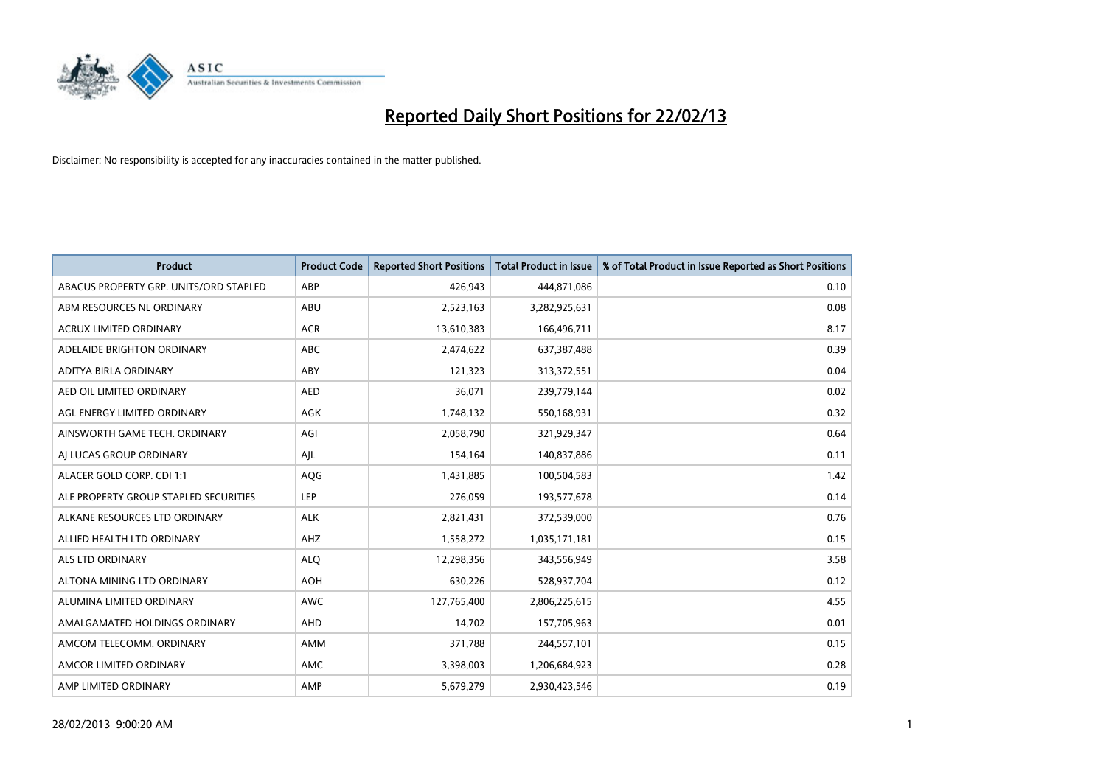

| <b>Product</b>                         | <b>Product Code</b> | <b>Reported Short Positions</b> | <b>Total Product in Issue</b> | % of Total Product in Issue Reported as Short Positions |
|----------------------------------------|---------------------|---------------------------------|-------------------------------|---------------------------------------------------------|
| ABACUS PROPERTY GRP. UNITS/ORD STAPLED | ABP                 | 426,943                         | 444,871,086                   | 0.10                                                    |
| ABM RESOURCES NL ORDINARY              | ABU                 | 2,523,163                       | 3,282,925,631                 | 0.08                                                    |
| <b>ACRUX LIMITED ORDINARY</b>          | <b>ACR</b>          | 13,610,383                      | 166,496,711                   | 8.17                                                    |
| ADELAIDE BRIGHTON ORDINARY             | <b>ABC</b>          | 2,474,622                       | 637,387,488                   | 0.39                                                    |
| ADITYA BIRLA ORDINARY                  | ABY                 | 121,323                         | 313,372,551                   | 0.04                                                    |
| AED OIL LIMITED ORDINARY               | <b>AED</b>          | 36,071                          | 239,779,144                   | 0.02                                                    |
| AGL ENERGY LIMITED ORDINARY            | AGK                 | 1,748,132                       | 550,168,931                   | 0.32                                                    |
| AINSWORTH GAME TECH. ORDINARY          | AGI                 | 2,058,790                       | 321,929,347                   | 0.64                                                    |
| AI LUCAS GROUP ORDINARY                | AJL                 | 154,164                         | 140,837,886                   | 0.11                                                    |
| ALACER GOLD CORP. CDI 1:1              | AQG                 | 1,431,885                       | 100,504,583                   | 1.42                                                    |
| ALE PROPERTY GROUP STAPLED SECURITIES  | <b>LEP</b>          | 276,059                         | 193,577,678                   | 0.14                                                    |
| ALKANE RESOURCES LTD ORDINARY          | <b>ALK</b>          | 2,821,431                       | 372,539,000                   | 0.76                                                    |
| ALLIED HEALTH LTD ORDINARY             | AHZ                 | 1,558,272                       | 1,035,171,181                 | 0.15                                                    |
| <b>ALS LTD ORDINARY</b>                | <b>ALO</b>          | 12,298,356                      | 343,556,949                   | 3.58                                                    |
| ALTONA MINING LTD ORDINARY             | <b>AOH</b>          | 630,226                         | 528,937,704                   | 0.12                                                    |
| ALUMINA LIMITED ORDINARY               | <b>AWC</b>          | 127,765,400                     | 2,806,225,615                 | 4.55                                                    |
| AMALGAMATED HOLDINGS ORDINARY          | AHD                 | 14,702                          | 157,705,963                   | 0.01                                                    |
| AMCOM TELECOMM, ORDINARY               | AMM                 | 371,788                         | 244,557,101                   | 0.15                                                    |
| AMCOR LIMITED ORDINARY                 | AMC                 | 3,398,003                       | 1,206,684,923                 | 0.28                                                    |
| AMP LIMITED ORDINARY                   | AMP                 | 5,679,279                       | 2,930,423,546                 | 0.19                                                    |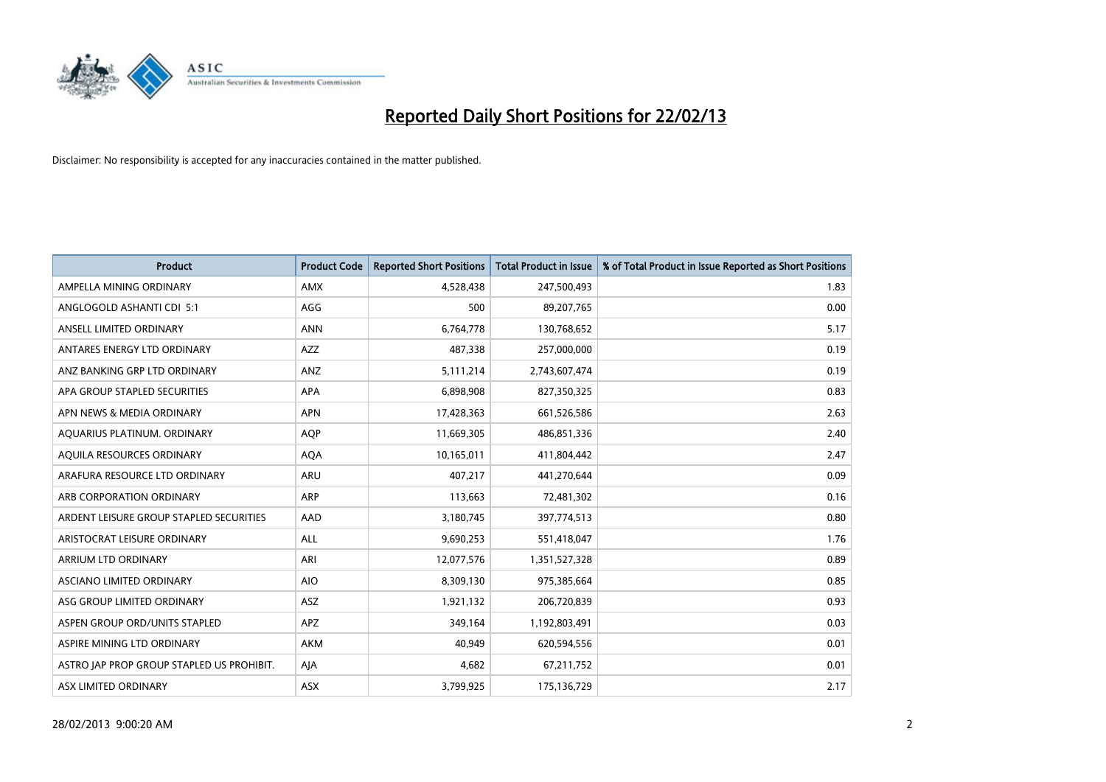

| <b>Product</b>                            | <b>Product Code</b> | <b>Reported Short Positions</b> | <b>Total Product in Issue</b> | % of Total Product in Issue Reported as Short Positions |
|-------------------------------------------|---------------------|---------------------------------|-------------------------------|---------------------------------------------------------|
| AMPELLA MINING ORDINARY                   | AMX                 | 4,528,438                       | 247,500,493                   | 1.83                                                    |
| ANGLOGOLD ASHANTI CDI 5:1                 | AGG                 | 500                             | 89,207,765                    | 0.00                                                    |
| ANSELL LIMITED ORDINARY                   | <b>ANN</b>          | 6,764,778                       | 130,768,652                   | 5.17                                                    |
| ANTARES ENERGY LTD ORDINARY               | AZZ                 | 487,338                         | 257,000,000                   | 0.19                                                    |
| ANZ BANKING GRP LTD ORDINARY              | ANZ                 | 5,111,214                       | 2,743,607,474                 | 0.19                                                    |
| APA GROUP STAPLED SECURITIES              | APA                 | 6,898,908                       | 827,350,325                   | 0.83                                                    |
| APN NEWS & MEDIA ORDINARY                 | <b>APN</b>          | 17,428,363                      | 661,526,586                   | 2.63                                                    |
| AQUARIUS PLATINUM. ORDINARY               | <b>AQP</b>          | 11,669,305                      | 486,851,336                   | 2.40                                                    |
| AQUILA RESOURCES ORDINARY                 | <b>AQA</b>          | 10,165,011                      | 411,804,442                   | 2.47                                                    |
| ARAFURA RESOURCE LTD ORDINARY             | ARU                 | 407,217                         | 441,270,644                   | 0.09                                                    |
| ARB CORPORATION ORDINARY                  | <b>ARP</b>          | 113,663                         | 72,481,302                    | 0.16                                                    |
| ARDENT LEISURE GROUP STAPLED SECURITIES   | AAD                 | 3,180,745                       | 397,774,513                   | 0.80                                                    |
| ARISTOCRAT LEISURE ORDINARY               | ALL                 | 9,690,253                       | 551,418,047                   | 1.76                                                    |
| ARRIUM LTD ORDINARY                       | ARI                 | 12,077,576                      | 1,351,527,328                 | 0.89                                                    |
| ASCIANO LIMITED ORDINARY                  | <b>AIO</b>          | 8,309,130                       | 975,385,664                   | 0.85                                                    |
| ASG GROUP LIMITED ORDINARY                | ASZ                 | 1,921,132                       | 206,720,839                   | 0.93                                                    |
| ASPEN GROUP ORD/UNITS STAPLED             | APZ                 | 349,164                         | 1,192,803,491                 | 0.03                                                    |
| ASPIRE MINING LTD ORDINARY                | AKM                 | 40,949                          | 620,594,556                   | 0.01                                                    |
| ASTRO JAP PROP GROUP STAPLED US PROHIBIT. | AJA                 | 4,682                           | 67,211,752                    | 0.01                                                    |
| ASX LIMITED ORDINARY                      | ASX                 | 3,799,925                       | 175,136,729                   | 2.17                                                    |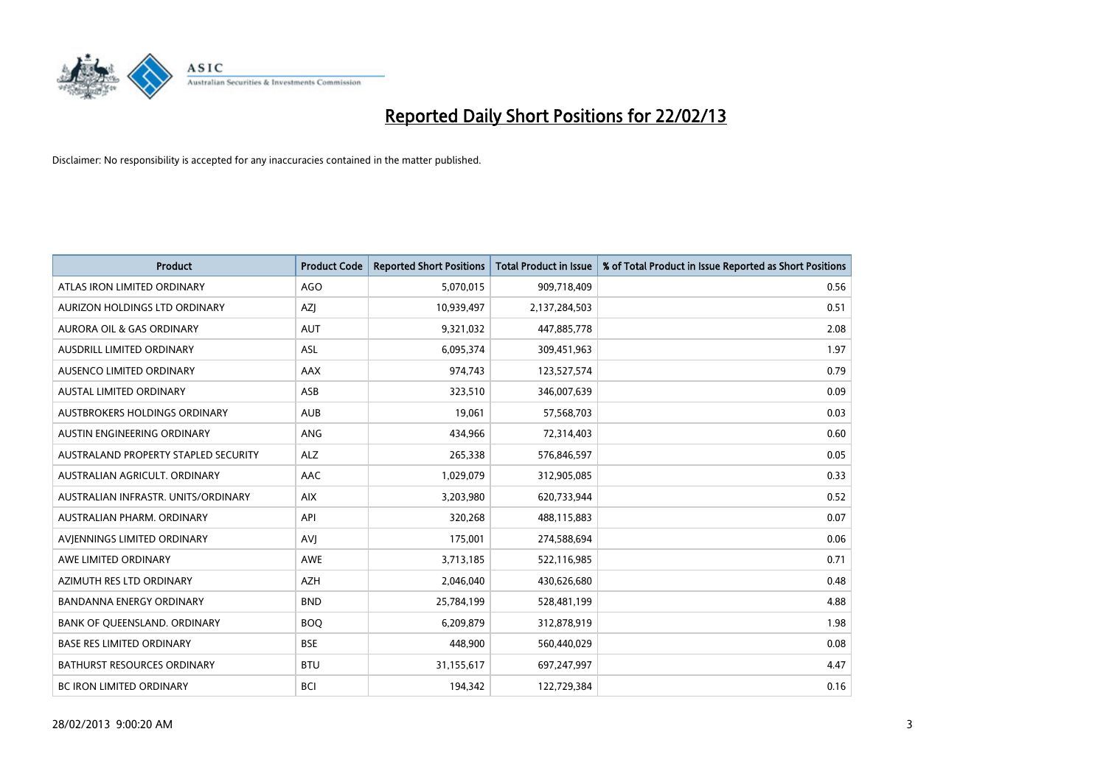

| <b>Product</b>                       | <b>Product Code</b> | <b>Reported Short Positions</b> | <b>Total Product in Issue</b> | % of Total Product in Issue Reported as Short Positions |
|--------------------------------------|---------------------|---------------------------------|-------------------------------|---------------------------------------------------------|
| ATLAS IRON LIMITED ORDINARY          | <b>AGO</b>          | 5,070,015                       | 909,718,409                   | 0.56                                                    |
| AURIZON HOLDINGS LTD ORDINARY        | AZJ                 | 10,939,497                      | 2,137,284,503                 | 0.51                                                    |
| AURORA OIL & GAS ORDINARY            | AUT                 | 9,321,032                       | 447,885,778                   | 2.08                                                    |
| AUSDRILL LIMITED ORDINARY            | ASL                 | 6,095,374                       | 309,451,963                   | 1.97                                                    |
| AUSENCO LIMITED ORDINARY             | <b>AAX</b>          | 974,743                         | 123,527,574                   | 0.79                                                    |
| <b>AUSTAL LIMITED ORDINARY</b>       | ASB                 | 323,510                         | 346,007,639                   | 0.09                                                    |
| AUSTBROKERS HOLDINGS ORDINARY        | <b>AUB</b>          | 19,061                          | 57,568,703                    | 0.03                                                    |
| AUSTIN ENGINEERING ORDINARY          | ANG                 | 434,966                         | 72,314,403                    | 0.60                                                    |
| AUSTRALAND PROPERTY STAPLED SECURITY | <b>ALZ</b>          | 265,338                         | 576,846,597                   | 0.05                                                    |
| AUSTRALIAN AGRICULT, ORDINARY        | <b>AAC</b>          | 1,029,079                       | 312,905,085                   | 0.33                                                    |
| AUSTRALIAN INFRASTR, UNITS/ORDINARY  | <b>AIX</b>          | 3,203,980                       | 620,733,944                   | 0.52                                                    |
| AUSTRALIAN PHARM, ORDINARY           | API                 | 320,268                         | 488,115,883                   | 0.07                                                    |
| AVIENNINGS LIMITED ORDINARY          | <b>AVI</b>          | 175,001                         | 274,588,694                   | 0.06                                                    |
| AWE LIMITED ORDINARY                 | AWE                 | 3,713,185                       | 522,116,985                   | 0.71                                                    |
| AZIMUTH RES LTD ORDINARY             | <b>AZH</b>          | 2,046,040                       | 430,626,680                   | 0.48                                                    |
| <b>BANDANNA ENERGY ORDINARY</b>      | <b>BND</b>          | 25,784,199                      | 528,481,199                   | 4.88                                                    |
| BANK OF QUEENSLAND. ORDINARY         | <b>BOQ</b>          | 6,209,879                       | 312,878,919                   | 1.98                                                    |
| <b>BASE RES LIMITED ORDINARY</b>     | <b>BSE</b>          | 448,900                         | 560,440,029                   | 0.08                                                    |
| <b>BATHURST RESOURCES ORDINARY</b>   | <b>BTU</b>          | 31,155,617                      | 697,247,997                   | 4.47                                                    |
| <b>BC IRON LIMITED ORDINARY</b>      | <b>BCI</b>          | 194,342                         | 122,729,384                   | 0.16                                                    |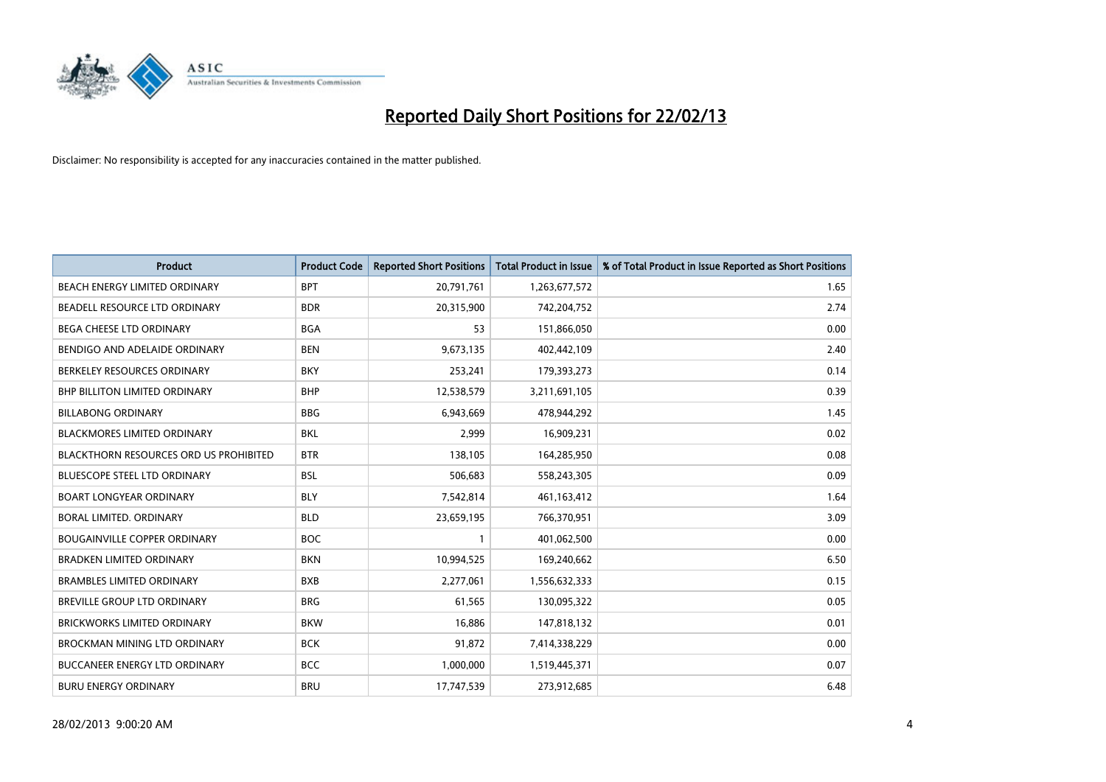

| <b>Product</b>                                | <b>Product Code</b> | <b>Reported Short Positions</b> | <b>Total Product in Issue</b> | % of Total Product in Issue Reported as Short Positions |
|-----------------------------------------------|---------------------|---------------------------------|-------------------------------|---------------------------------------------------------|
| BEACH ENERGY LIMITED ORDINARY                 | <b>BPT</b>          | 20,791,761                      | 1,263,677,572                 | 1.65                                                    |
| BEADELL RESOURCE LTD ORDINARY                 | <b>BDR</b>          | 20,315,900                      | 742,204,752                   | 2.74                                                    |
| <b>BEGA CHEESE LTD ORDINARY</b>               | <b>BGA</b>          | 53                              | 151,866,050                   | 0.00                                                    |
| BENDIGO AND ADELAIDE ORDINARY                 | <b>BEN</b>          | 9,673,135                       | 402,442,109                   | 2.40                                                    |
| BERKELEY RESOURCES ORDINARY                   | <b>BKY</b>          | 253,241                         | 179,393,273                   | 0.14                                                    |
| BHP BILLITON LIMITED ORDINARY                 | <b>BHP</b>          | 12,538,579                      | 3,211,691,105                 | 0.39                                                    |
| <b>BILLABONG ORDINARY</b>                     | <b>BBG</b>          | 6,943,669                       | 478,944,292                   | 1.45                                                    |
| <b>BLACKMORES LIMITED ORDINARY</b>            | <b>BKL</b>          | 2,999                           | 16,909,231                    | 0.02                                                    |
| <b>BLACKTHORN RESOURCES ORD US PROHIBITED</b> | <b>BTR</b>          | 138,105                         | 164,285,950                   | 0.08                                                    |
| <b>BLUESCOPE STEEL LTD ORDINARY</b>           | <b>BSL</b>          | 506,683                         | 558,243,305                   | 0.09                                                    |
| <b>BOART LONGYEAR ORDINARY</b>                | <b>BLY</b>          | 7,542,814                       | 461,163,412                   | 1.64                                                    |
| <b>BORAL LIMITED, ORDINARY</b>                | <b>BLD</b>          | 23,659,195                      | 766,370,951                   | 3.09                                                    |
| <b>BOUGAINVILLE COPPER ORDINARY</b>           | <b>BOC</b>          | $\mathbf{1}$                    | 401,062,500                   | 0.00                                                    |
| <b>BRADKEN LIMITED ORDINARY</b>               | <b>BKN</b>          | 10,994,525                      | 169,240,662                   | 6.50                                                    |
| <b>BRAMBLES LIMITED ORDINARY</b>              | <b>BXB</b>          | 2,277,061                       | 1,556,632,333                 | 0.15                                                    |
| BREVILLE GROUP LTD ORDINARY                   | <b>BRG</b>          | 61,565                          | 130,095,322                   | 0.05                                                    |
| BRICKWORKS LIMITED ORDINARY                   | <b>BKW</b>          | 16,886                          | 147,818,132                   | 0.01                                                    |
| <b>BROCKMAN MINING LTD ORDINARY</b>           | <b>BCK</b>          | 91,872                          | 7,414,338,229                 | 0.00                                                    |
| <b>BUCCANEER ENERGY LTD ORDINARY</b>          | <b>BCC</b>          | 1,000,000                       | 1,519,445,371                 | 0.07                                                    |
| <b>BURU ENERGY ORDINARY</b>                   | <b>BRU</b>          | 17,747,539                      | 273,912,685                   | 6.48                                                    |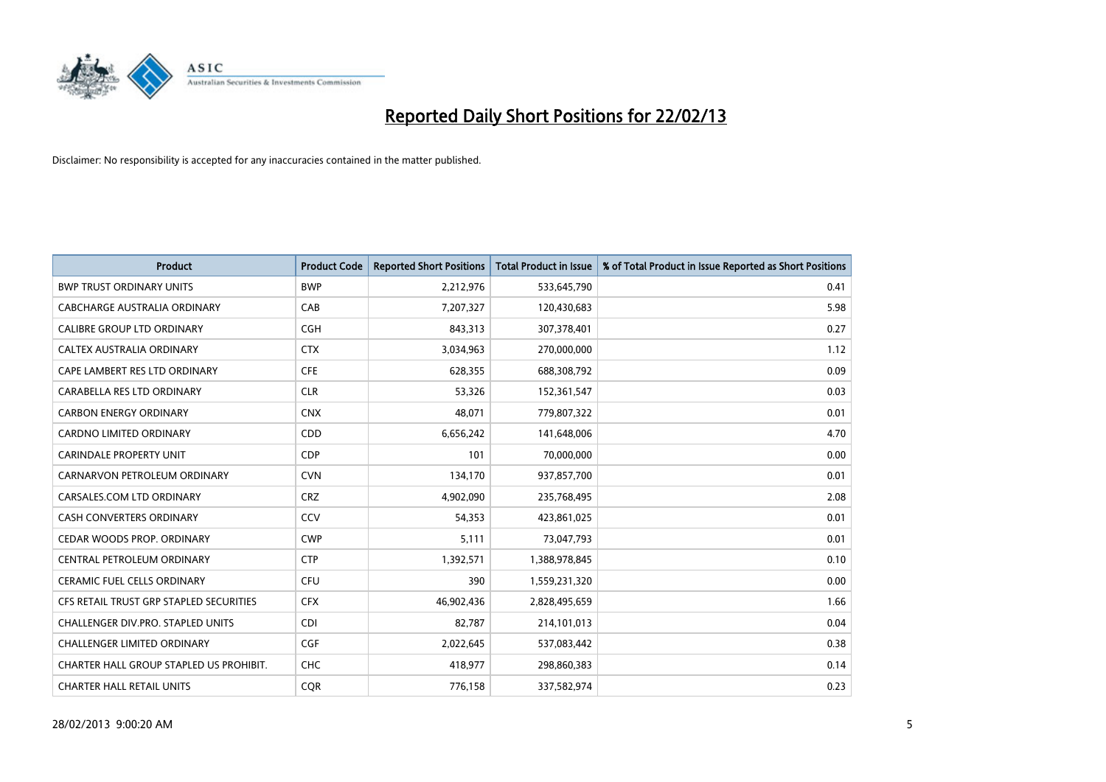

| <b>Product</b>                          | <b>Product Code</b> | <b>Reported Short Positions</b> | Total Product in Issue | % of Total Product in Issue Reported as Short Positions |
|-----------------------------------------|---------------------|---------------------------------|------------------------|---------------------------------------------------------|
| <b>BWP TRUST ORDINARY UNITS</b>         | <b>BWP</b>          | 2,212,976                       | 533,645,790            | 0.41                                                    |
| CABCHARGE AUSTRALIA ORDINARY            | CAB                 | 7,207,327                       | 120,430,683            | 5.98                                                    |
| <b>CALIBRE GROUP LTD ORDINARY</b>       | <b>CGH</b>          | 843,313                         | 307,378,401            | 0.27                                                    |
| CALTEX AUSTRALIA ORDINARY               | <b>CTX</b>          | 3,034,963                       | 270,000,000            | 1.12                                                    |
| CAPE LAMBERT RES LTD ORDINARY           | <b>CFE</b>          | 628,355                         | 688,308,792            | 0.09                                                    |
| CARABELLA RES LTD ORDINARY              | <b>CLR</b>          | 53,326                          | 152,361,547            | 0.03                                                    |
| <b>CARBON ENERGY ORDINARY</b>           | <b>CNX</b>          | 48,071                          | 779,807,322            | 0.01                                                    |
| CARDNO LIMITED ORDINARY                 | CDD                 | 6,656,242                       | 141,648,006            | 4.70                                                    |
| <b>CARINDALE PROPERTY UNIT</b>          | <b>CDP</b>          | 101                             | 70,000,000             | 0.00                                                    |
| CARNARVON PETROLEUM ORDINARY            | <b>CVN</b>          | 134,170                         | 937,857,700            | 0.01                                                    |
| CARSALES.COM LTD ORDINARY               | <b>CRZ</b>          | 4,902,090                       | 235,768,495            | 2.08                                                    |
| <b>CASH CONVERTERS ORDINARY</b>         | CCV                 | 54,353                          | 423,861,025            | 0.01                                                    |
| CEDAR WOODS PROP. ORDINARY              | <b>CWP</b>          | 5,111                           | 73,047,793             | 0.01                                                    |
| CENTRAL PETROLEUM ORDINARY              | <b>CTP</b>          | 1,392,571                       | 1,388,978,845          | 0.10                                                    |
| <b>CERAMIC FUEL CELLS ORDINARY</b>      | <b>CFU</b>          | 390                             | 1,559,231,320          | 0.00                                                    |
| CFS RETAIL TRUST GRP STAPLED SECURITIES | <b>CFX</b>          | 46,902,436                      | 2,828,495,659          | 1.66                                                    |
| CHALLENGER DIV.PRO. STAPLED UNITS       | <b>CDI</b>          | 82,787                          | 214,101,013            | 0.04                                                    |
| <b>CHALLENGER LIMITED ORDINARY</b>      | <b>CGF</b>          | 2,022,645                       | 537,083,442            | 0.38                                                    |
| CHARTER HALL GROUP STAPLED US PROHIBIT. | <b>CHC</b>          | 418,977                         | 298,860,383            | 0.14                                                    |
| <b>CHARTER HALL RETAIL UNITS</b>        | <b>COR</b>          | 776,158                         | 337,582,974            | 0.23                                                    |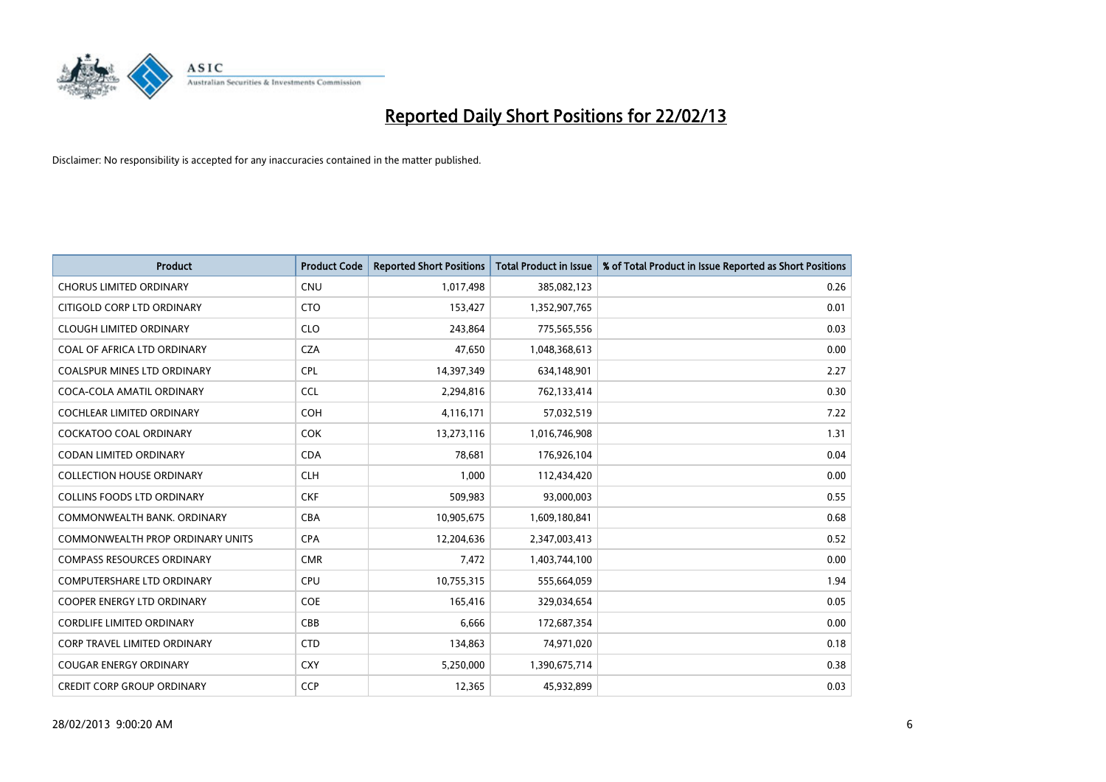

| <b>Product</b>                          | <b>Product Code</b> | <b>Reported Short Positions</b> | <b>Total Product in Issue</b> | % of Total Product in Issue Reported as Short Positions |
|-----------------------------------------|---------------------|---------------------------------|-------------------------------|---------------------------------------------------------|
| <b>CHORUS LIMITED ORDINARY</b>          | <b>CNU</b>          | 1,017,498                       | 385,082,123                   | 0.26                                                    |
| CITIGOLD CORP LTD ORDINARY              | <b>CTO</b>          | 153,427                         | 1,352,907,765                 | 0.01                                                    |
| <b>CLOUGH LIMITED ORDINARY</b>          | <b>CLO</b>          | 243,864                         | 775,565,556                   | 0.03                                                    |
| COAL OF AFRICA LTD ORDINARY             | <b>CZA</b>          | 47,650                          | 1,048,368,613                 | 0.00                                                    |
| <b>COALSPUR MINES LTD ORDINARY</b>      | <b>CPL</b>          | 14,397,349                      | 634,148,901                   | 2.27                                                    |
| COCA-COLA AMATIL ORDINARY               | <b>CCL</b>          | 2,294,816                       | 762,133,414                   | 0.30                                                    |
| <b>COCHLEAR LIMITED ORDINARY</b>        | <b>COH</b>          | 4,116,171                       | 57,032,519                    | 7.22                                                    |
| COCKATOO COAL ORDINARY                  | <b>COK</b>          | 13,273,116                      | 1,016,746,908                 | 1.31                                                    |
| <b>CODAN LIMITED ORDINARY</b>           | <b>CDA</b>          | 78.681                          | 176,926,104                   | 0.04                                                    |
| <b>COLLECTION HOUSE ORDINARY</b>        | <b>CLH</b>          | 1,000                           | 112,434,420                   | 0.00                                                    |
| <b>COLLINS FOODS LTD ORDINARY</b>       | <b>CKF</b>          | 509,983                         | 93,000,003                    | 0.55                                                    |
| COMMONWEALTH BANK, ORDINARY             | <b>CBA</b>          | 10,905,675                      | 1,609,180,841                 | 0.68                                                    |
| <b>COMMONWEALTH PROP ORDINARY UNITS</b> | <b>CPA</b>          | 12,204,636                      | 2,347,003,413                 | 0.52                                                    |
| <b>COMPASS RESOURCES ORDINARY</b>       | <b>CMR</b>          | 7,472                           | 1,403,744,100                 | 0.00                                                    |
| <b>COMPUTERSHARE LTD ORDINARY</b>       | <b>CPU</b>          | 10,755,315                      | 555,664,059                   | 1.94                                                    |
| COOPER ENERGY LTD ORDINARY              | <b>COE</b>          | 165,416                         | 329,034,654                   | 0.05                                                    |
| <b>CORDLIFE LIMITED ORDINARY</b>        | CBB                 | 6,666                           | 172,687,354                   | 0.00                                                    |
| <b>CORP TRAVEL LIMITED ORDINARY</b>     | <b>CTD</b>          | 134,863                         | 74,971,020                    | 0.18                                                    |
| <b>COUGAR ENERGY ORDINARY</b>           | <b>CXY</b>          | 5,250,000                       | 1,390,675,714                 | 0.38                                                    |
| <b>CREDIT CORP GROUP ORDINARY</b>       | <b>CCP</b>          | 12,365                          | 45,932,899                    | 0.03                                                    |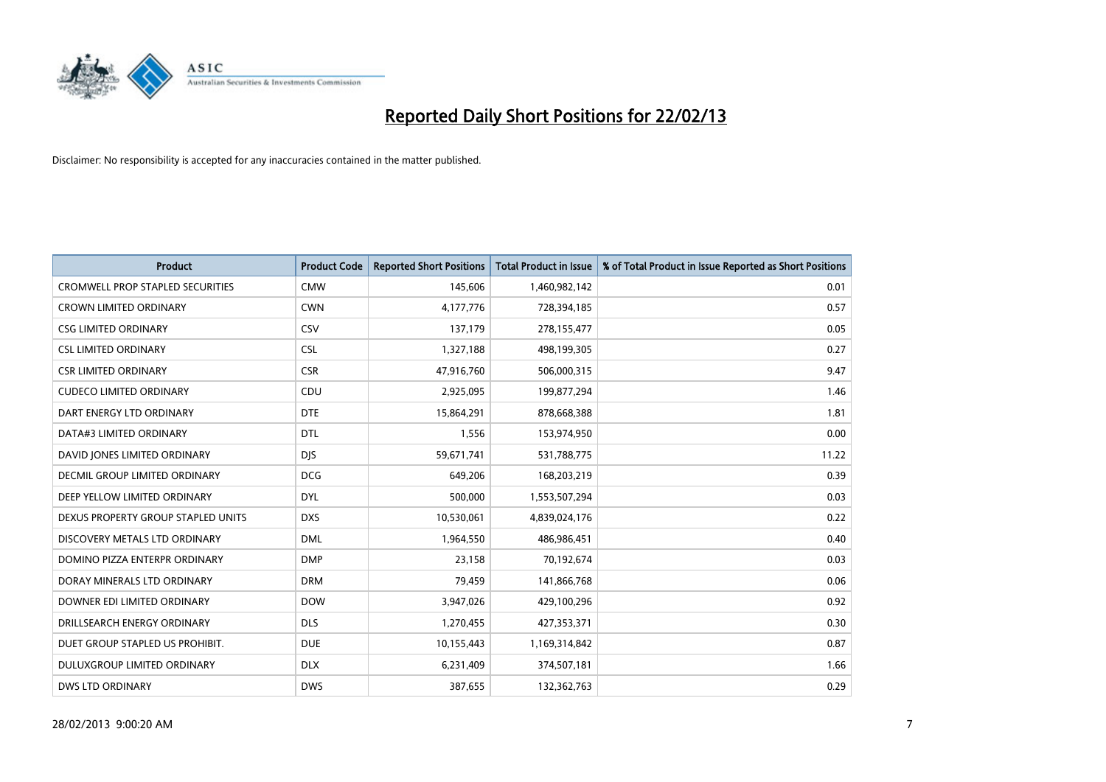

| Product                                 | <b>Product Code</b> | <b>Reported Short Positions</b> | <b>Total Product in Issue</b> | % of Total Product in Issue Reported as Short Positions |
|-----------------------------------------|---------------------|---------------------------------|-------------------------------|---------------------------------------------------------|
| <b>CROMWELL PROP STAPLED SECURITIES</b> | <b>CMW</b>          | 145,606                         | 1,460,982,142                 | 0.01                                                    |
| <b>CROWN LIMITED ORDINARY</b>           | <b>CWN</b>          | 4,177,776                       | 728,394,185                   | 0.57                                                    |
| <b>CSG LIMITED ORDINARY</b>             | CSV                 | 137,179                         | 278,155,477                   | 0.05                                                    |
| <b>CSL LIMITED ORDINARY</b>             | <b>CSL</b>          | 1,327,188                       | 498,199,305                   | 0.27                                                    |
| <b>CSR LIMITED ORDINARY</b>             | <b>CSR</b>          | 47,916,760                      | 506,000,315                   | 9.47                                                    |
| <b>CUDECO LIMITED ORDINARY</b>          | CDU                 | 2,925,095                       | 199,877,294                   | 1.46                                                    |
| DART ENERGY LTD ORDINARY                | <b>DTE</b>          | 15,864,291                      | 878,668,388                   | 1.81                                                    |
| DATA#3 LIMITED ORDINARY                 | <b>DTL</b>          | 1,556                           | 153,974,950                   | 0.00                                                    |
| DAVID JONES LIMITED ORDINARY            | <b>DJS</b>          | 59,671,741                      | 531,788,775                   | 11.22                                                   |
| DECMIL GROUP LIMITED ORDINARY           | <b>DCG</b>          | 649,206                         | 168,203,219                   | 0.39                                                    |
| DEEP YELLOW LIMITED ORDINARY            | <b>DYL</b>          | 500,000                         | 1,553,507,294                 | 0.03                                                    |
| DEXUS PROPERTY GROUP STAPLED UNITS      | <b>DXS</b>          | 10,530,061                      | 4,839,024,176                 | 0.22                                                    |
| DISCOVERY METALS LTD ORDINARY           | <b>DML</b>          | 1,964,550                       | 486,986,451                   | 0.40                                                    |
| DOMINO PIZZA ENTERPR ORDINARY           | <b>DMP</b>          | 23,158                          | 70,192,674                    | 0.03                                                    |
| DORAY MINERALS LTD ORDINARY             | <b>DRM</b>          | 79,459                          | 141,866,768                   | 0.06                                                    |
| DOWNER EDI LIMITED ORDINARY             | <b>DOW</b>          | 3,947,026                       | 429,100,296                   | 0.92                                                    |
| DRILLSEARCH ENERGY ORDINARY             | <b>DLS</b>          | 1,270,455                       | 427,353,371                   | 0.30                                                    |
| DUET GROUP STAPLED US PROHIBIT.         | <b>DUE</b>          | 10,155,443                      | 1,169,314,842                 | 0.87                                                    |
| DULUXGROUP LIMITED ORDINARY             | <b>DLX</b>          | 6,231,409                       | 374,507,181                   | 1.66                                                    |
| <b>DWS LTD ORDINARY</b>                 | <b>DWS</b>          | 387,655                         | 132,362,763                   | 0.29                                                    |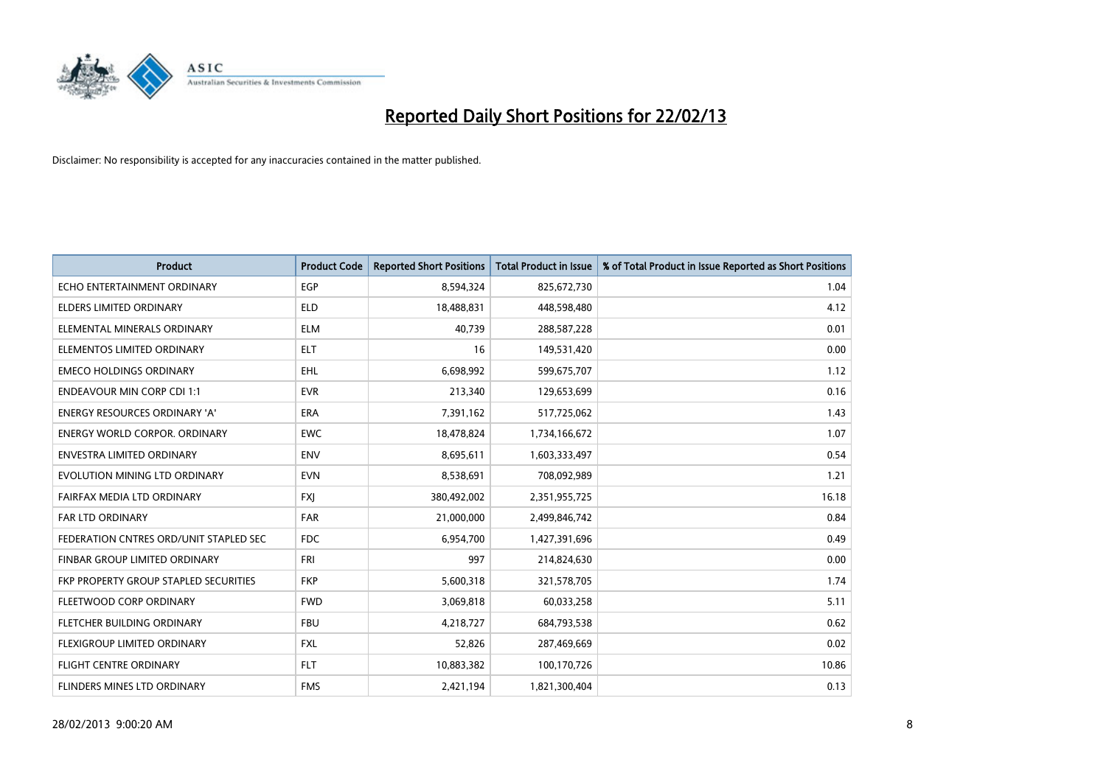

| <b>Product</b>                         | <b>Product Code</b> | <b>Reported Short Positions</b> | <b>Total Product in Issue</b> | % of Total Product in Issue Reported as Short Positions |
|----------------------------------------|---------------------|---------------------------------|-------------------------------|---------------------------------------------------------|
| ECHO ENTERTAINMENT ORDINARY            | <b>EGP</b>          | 8,594,324                       | 825,672,730                   | 1.04                                                    |
| ELDERS LIMITED ORDINARY                | <b>ELD</b>          | 18,488,831                      | 448,598,480                   | 4.12                                                    |
| ELEMENTAL MINERALS ORDINARY            | <b>ELM</b>          | 40,739                          | 288,587,228                   | 0.01                                                    |
| ELEMENTOS LIMITED ORDINARY             | <b>ELT</b>          | 16                              | 149,531,420                   | 0.00                                                    |
| <b>EMECO HOLDINGS ORDINARY</b>         | <b>EHL</b>          | 6,698,992                       | 599,675,707                   | 1.12                                                    |
| <b>ENDEAVOUR MIN CORP CDI 1:1</b>      | <b>EVR</b>          | 213,340                         | 129,653,699                   | 0.16                                                    |
| ENERGY RESOURCES ORDINARY 'A'          | ERA                 | 7,391,162                       | 517,725,062                   | 1.43                                                    |
| ENERGY WORLD CORPOR. ORDINARY          | <b>EWC</b>          | 18,478,824                      | 1,734,166,672                 | 1.07                                                    |
| <b>ENVESTRA LIMITED ORDINARY</b>       | <b>ENV</b>          | 8,695,611                       | 1,603,333,497                 | 0.54                                                    |
| EVOLUTION MINING LTD ORDINARY          | <b>EVN</b>          | 8,538,691                       | 708,092,989                   | 1.21                                                    |
| FAIRFAX MEDIA LTD ORDINARY             | <b>FXJ</b>          | 380,492,002                     | 2,351,955,725                 | 16.18                                                   |
| FAR LTD ORDINARY                       | <b>FAR</b>          | 21,000,000                      | 2,499,846,742                 | 0.84                                                    |
| FEDERATION CNTRES ORD/UNIT STAPLED SEC | <b>FDC</b>          | 6,954,700                       | 1,427,391,696                 | 0.49                                                    |
| FINBAR GROUP LIMITED ORDINARY          | <b>FRI</b>          | 997                             | 214,824,630                   | 0.00                                                    |
| FKP PROPERTY GROUP STAPLED SECURITIES  | <b>FKP</b>          | 5,600,318                       | 321,578,705                   | 1.74                                                    |
| FLEETWOOD CORP ORDINARY                | <b>FWD</b>          | 3,069,818                       | 60,033,258                    | 5.11                                                    |
| FLETCHER BUILDING ORDINARY             | <b>FBU</b>          | 4,218,727                       | 684,793,538                   | 0.62                                                    |
| FLEXIGROUP LIMITED ORDINARY            | <b>FXL</b>          | 52,826                          | 287,469,669                   | 0.02                                                    |
| FLIGHT CENTRE ORDINARY                 | <b>FLT</b>          | 10,883,382                      | 100,170,726                   | 10.86                                                   |
| <b>FLINDERS MINES LTD ORDINARY</b>     | <b>FMS</b>          | 2,421,194                       | 1,821,300,404                 | 0.13                                                    |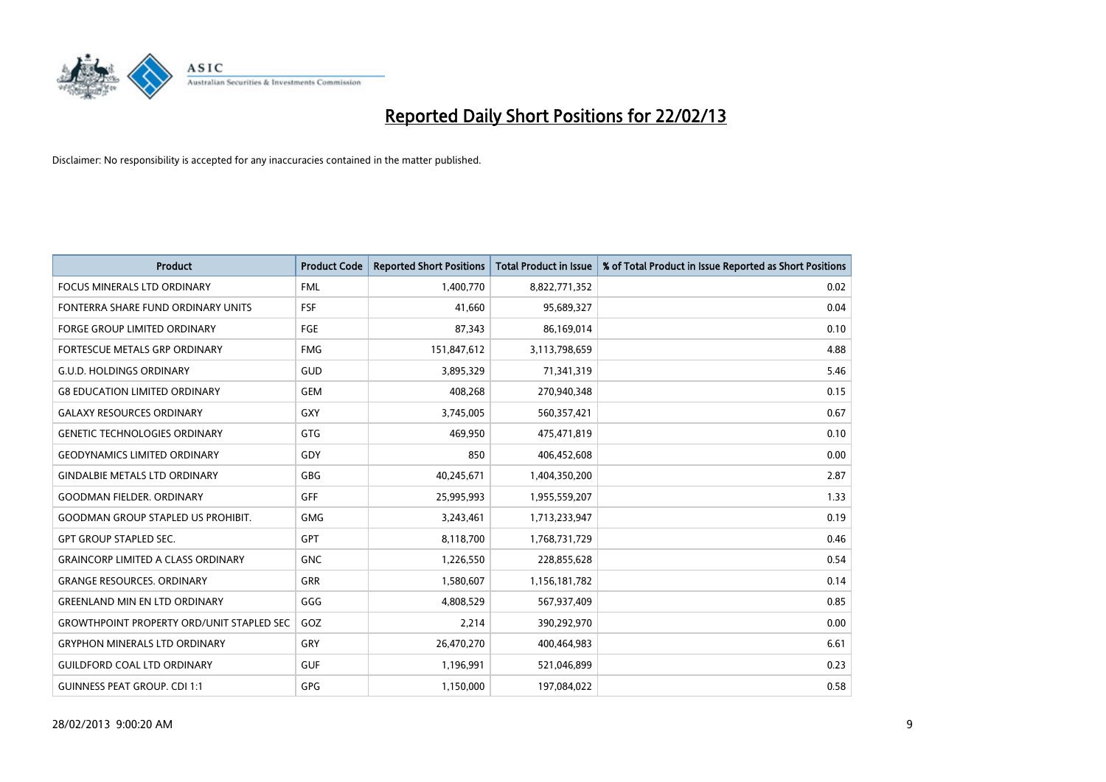

| <b>Product</b>                                   | <b>Product Code</b> | <b>Reported Short Positions</b> | <b>Total Product in Issue</b> | % of Total Product in Issue Reported as Short Positions |
|--------------------------------------------------|---------------------|---------------------------------|-------------------------------|---------------------------------------------------------|
| <b>FOCUS MINERALS LTD ORDINARY</b>               | <b>FML</b>          | 1,400,770                       | 8,822,771,352                 | 0.02                                                    |
| FONTERRA SHARE FUND ORDINARY UNITS               | FSF                 | 41,660                          | 95,689,327                    | 0.04                                                    |
| <b>FORGE GROUP LIMITED ORDINARY</b>              | FGE                 | 87,343                          | 86,169,014                    | 0.10                                                    |
| <b>FORTESCUE METALS GRP ORDINARY</b>             | <b>FMG</b>          | 151,847,612                     | 3,113,798,659                 | 4.88                                                    |
| <b>G.U.D. HOLDINGS ORDINARY</b>                  | GUD                 | 3,895,329                       | 71,341,319                    | 5.46                                                    |
| <b>G8 EDUCATION LIMITED ORDINARY</b>             | <b>GEM</b>          | 408,268                         | 270,940,348                   | 0.15                                                    |
| <b>GALAXY RESOURCES ORDINARY</b>                 | GXY                 | 3,745,005                       | 560,357,421                   | 0.67                                                    |
| <b>GENETIC TECHNOLOGIES ORDINARY</b>             | <b>GTG</b>          | 469,950                         | 475,471,819                   | 0.10                                                    |
| <b>GEODYNAMICS LIMITED ORDINARY</b>              | GDY                 | 850                             | 406,452,608                   | 0.00                                                    |
| <b>GINDALBIE METALS LTD ORDINARY</b>             | <b>GBG</b>          | 40,245,671                      | 1,404,350,200                 | 2.87                                                    |
| <b>GOODMAN FIELDER, ORDINARY</b>                 | <b>GFF</b>          | 25,995,993                      | 1,955,559,207                 | 1.33                                                    |
| <b>GOODMAN GROUP STAPLED US PROHIBIT.</b>        | <b>GMG</b>          | 3,243,461                       | 1,713,233,947                 | 0.19                                                    |
| <b>GPT GROUP STAPLED SEC.</b>                    | <b>GPT</b>          | 8,118,700                       | 1,768,731,729                 | 0.46                                                    |
| <b>GRAINCORP LIMITED A CLASS ORDINARY</b>        | <b>GNC</b>          | 1,226,550                       | 228,855,628                   | 0.54                                                    |
| <b>GRANGE RESOURCES, ORDINARY</b>                | <b>GRR</b>          | 1,580,607                       | 1,156,181,782                 | 0.14                                                    |
| <b>GREENLAND MIN EN LTD ORDINARY</b>             | GGG                 | 4,808,529                       | 567,937,409                   | 0.85                                                    |
| <b>GROWTHPOINT PROPERTY ORD/UNIT STAPLED SEC</b> | GOZ                 | 2,214                           | 390,292,970                   | 0.00                                                    |
| <b>GRYPHON MINERALS LTD ORDINARY</b>             | GRY                 | 26,470,270                      | 400,464,983                   | 6.61                                                    |
| <b>GUILDFORD COAL LTD ORDINARY</b>               | <b>GUF</b>          | 1,196,991                       | 521,046,899                   | 0.23                                                    |
| <b>GUINNESS PEAT GROUP. CDI 1:1</b>              | <b>GPG</b>          | 1,150,000                       | 197,084,022                   | 0.58                                                    |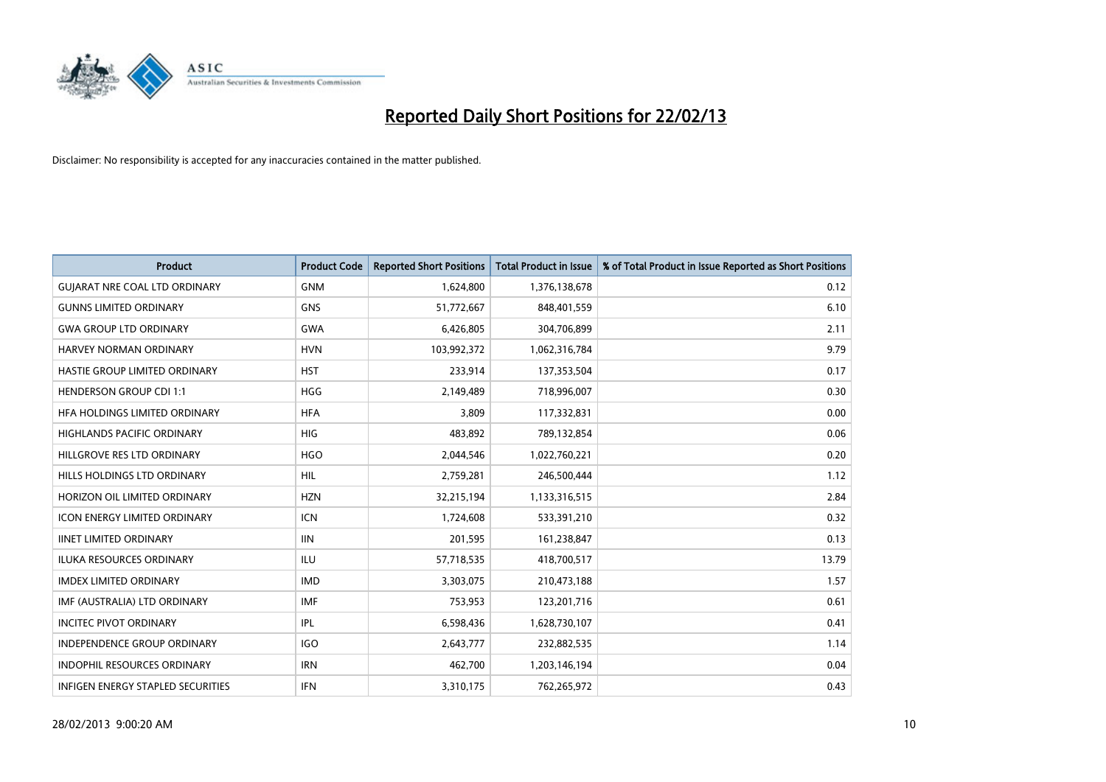

| <b>Product</b>                       | <b>Product Code</b> | <b>Reported Short Positions</b> | <b>Total Product in Issue</b> | % of Total Product in Issue Reported as Short Positions |
|--------------------------------------|---------------------|---------------------------------|-------------------------------|---------------------------------------------------------|
| <b>GUIARAT NRE COAL LTD ORDINARY</b> | <b>GNM</b>          | 1,624,800                       | 1,376,138,678                 | 0.12                                                    |
| <b>GUNNS LIMITED ORDINARY</b>        | <b>GNS</b>          | 51,772,667                      | 848,401,559                   | 6.10                                                    |
| <b>GWA GROUP LTD ORDINARY</b>        | <b>GWA</b>          | 6,426,805                       | 304,706,899                   | 2.11                                                    |
| HARVEY NORMAN ORDINARY               | <b>HVN</b>          | 103,992,372                     | 1,062,316,784                 | 9.79                                                    |
| HASTIE GROUP LIMITED ORDINARY        | <b>HST</b>          | 233,914                         | 137,353,504                   | 0.17                                                    |
| <b>HENDERSON GROUP CDI 1:1</b>       | <b>HGG</b>          | 2,149,489                       | 718,996,007                   | 0.30                                                    |
| HFA HOLDINGS LIMITED ORDINARY        | <b>HFA</b>          | 3,809                           | 117,332,831                   | 0.00                                                    |
| HIGHLANDS PACIFIC ORDINARY           | <b>HIG</b>          | 483,892                         | 789,132,854                   | 0.06                                                    |
| HILLGROVE RES LTD ORDINARY           | <b>HGO</b>          | 2,044,546                       | 1,022,760,221                 | 0.20                                                    |
| HILLS HOLDINGS LTD ORDINARY          | <b>HIL</b>          | 2,759,281                       | 246,500,444                   | 1.12                                                    |
| HORIZON OIL LIMITED ORDINARY         | <b>HZN</b>          | 32,215,194                      | 1,133,316,515                 | 2.84                                                    |
| <b>ICON ENERGY LIMITED ORDINARY</b>  | ICN                 | 1,724,608                       | 533,391,210                   | 0.32                                                    |
| <b>IINET LIMITED ORDINARY</b>        | <b>IIN</b>          | 201,595                         | 161,238,847                   | 0.13                                                    |
| <b>ILUKA RESOURCES ORDINARY</b>      | ILU                 | 57,718,535                      | 418,700,517                   | 13.79                                                   |
| <b>IMDEX LIMITED ORDINARY</b>        | <b>IMD</b>          | 3,303,075                       | 210,473,188                   | 1.57                                                    |
| IMF (AUSTRALIA) LTD ORDINARY         | IMF                 | 753,953                         | 123,201,716                   | 0.61                                                    |
| <b>INCITEC PIVOT ORDINARY</b>        | IPL                 | 6,598,436                       | 1,628,730,107                 | 0.41                                                    |
| <b>INDEPENDENCE GROUP ORDINARY</b>   | <b>IGO</b>          | 2,643,777                       | 232,882,535                   | 1.14                                                    |
| <b>INDOPHIL RESOURCES ORDINARY</b>   | <b>IRN</b>          | 462,700                         | 1,203,146,194                 | 0.04                                                    |
| INFIGEN ENERGY STAPLED SECURITIES    | IFN                 | 3,310,175                       | 762,265,972                   | 0.43                                                    |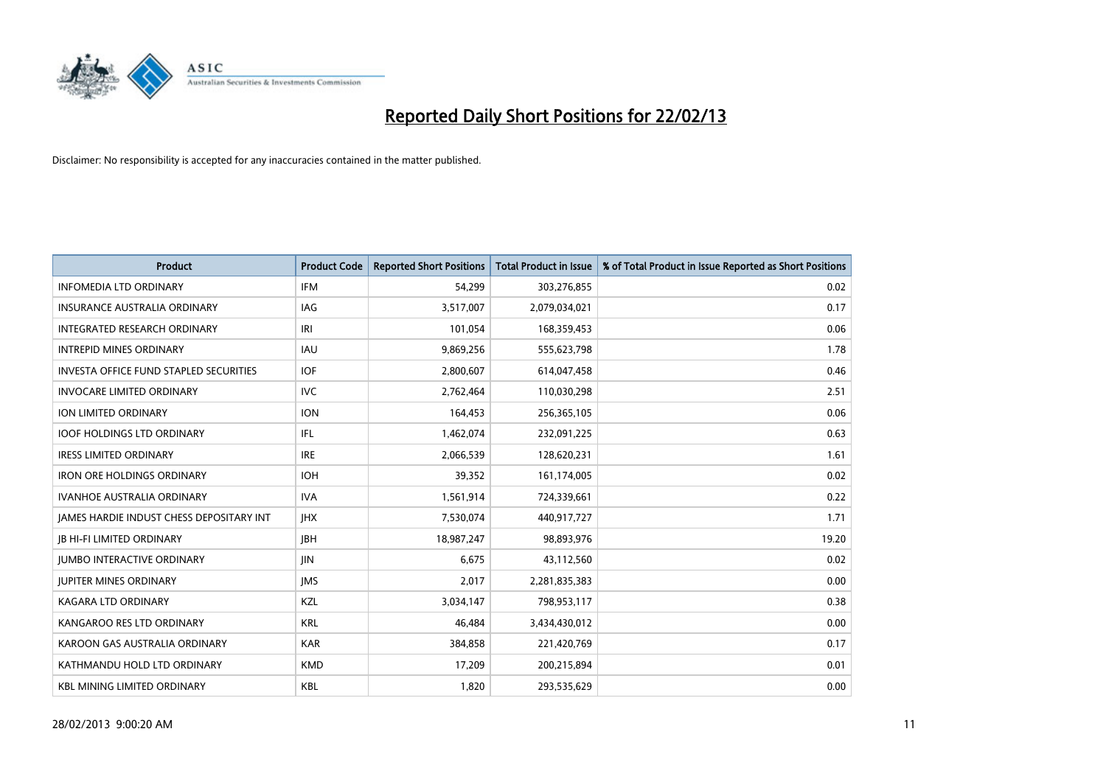

| <b>Product</b>                                | <b>Product Code</b> | <b>Reported Short Positions</b> | <b>Total Product in Issue</b> | % of Total Product in Issue Reported as Short Positions |
|-----------------------------------------------|---------------------|---------------------------------|-------------------------------|---------------------------------------------------------|
| <b>INFOMEDIA LTD ORDINARY</b>                 | <b>IFM</b>          | 54,299                          | 303,276,855                   | 0.02                                                    |
| <b>INSURANCE AUSTRALIA ORDINARY</b>           | IAG                 | 3,517,007                       | 2,079,034,021                 | 0.17                                                    |
| <b>INTEGRATED RESEARCH ORDINARY</b>           | IRI                 | 101,054                         | 168,359,453                   | 0.06                                                    |
| <b>INTREPID MINES ORDINARY</b>                | <b>IAU</b>          | 9,869,256                       | 555,623,798                   | 1.78                                                    |
| <b>INVESTA OFFICE FUND STAPLED SECURITIES</b> | <b>IOF</b>          | 2,800,607                       | 614,047,458                   | 0.46                                                    |
| <b>INVOCARE LIMITED ORDINARY</b>              | <b>IVC</b>          | 2,762,464                       | 110,030,298                   | 2.51                                                    |
| ION LIMITED ORDINARY                          | <b>ION</b>          | 164,453                         | 256,365,105                   | 0.06                                                    |
| <b>IOOF HOLDINGS LTD ORDINARY</b>             | IFL                 | 1,462,074                       | 232,091,225                   | 0.63                                                    |
| <b>IRESS LIMITED ORDINARY</b>                 | <b>IRE</b>          | 2,066,539                       | 128,620,231                   | 1.61                                                    |
| <b>IRON ORE HOLDINGS ORDINARY</b>             | <b>IOH</b>          | 39,352                          | 161,174,005                   | 0.02                                                    |
| <b>IVANHOE AUSTRALIA ORDINARY</b>             | <b>IVA</b>          | 1,561,914                       | 724,339,661                   | 0.22                                                    |
| JAMES HARDIE INDUST CHESS DEPOSITARY INT      | <b>IHX</b>          | 7,530,074                       | 440,917,727                   | 1.71                                                    |
| <b>JB HI-FI LIMITED ORDINARY</b>              | <b>IBH</b>          | 18,987,247                      | 98,893,976                    | 19.20                                                   |
| <b>JUMBO INTERACTIVE ORDINARY</b>             | JIN                 | 6,675                           | 43,112,560                    | 0.02                                                    |
| <b>JUPITER MINES ORDINARY</b>                 | <b>IMS</b>          | 2,017                           | 2,281,835,383                 | 0.00                                                    |
| <b>KAGARA LTD ORDINARY</b>                    | KZL                 | 3,034,147                       | 798,953,117                   | 0.38                                                    |
| KANGAROO RES LTD ORDINARY                     | <b>KRL</b>          | 46,484                          | 3,434,430,012                 | 0.00                                                    |
| KAROON GAS AUSTRALIA ORDINARY                 | <b>KAR</b>          | 384,858                         | 221,420,769                   | 0.17                                                    |
| KATHMANDU HOLD LTD ORDINARY                   | <b>KMD</b>          | 17,209                          | 200,215,894                   | 0.01                                                    |
| <b>KBL MINING LIMITED ORDINARY</b>            | <b>KBL</b>          | 1,820                           | 293,535,629                   | 0.00                                                    |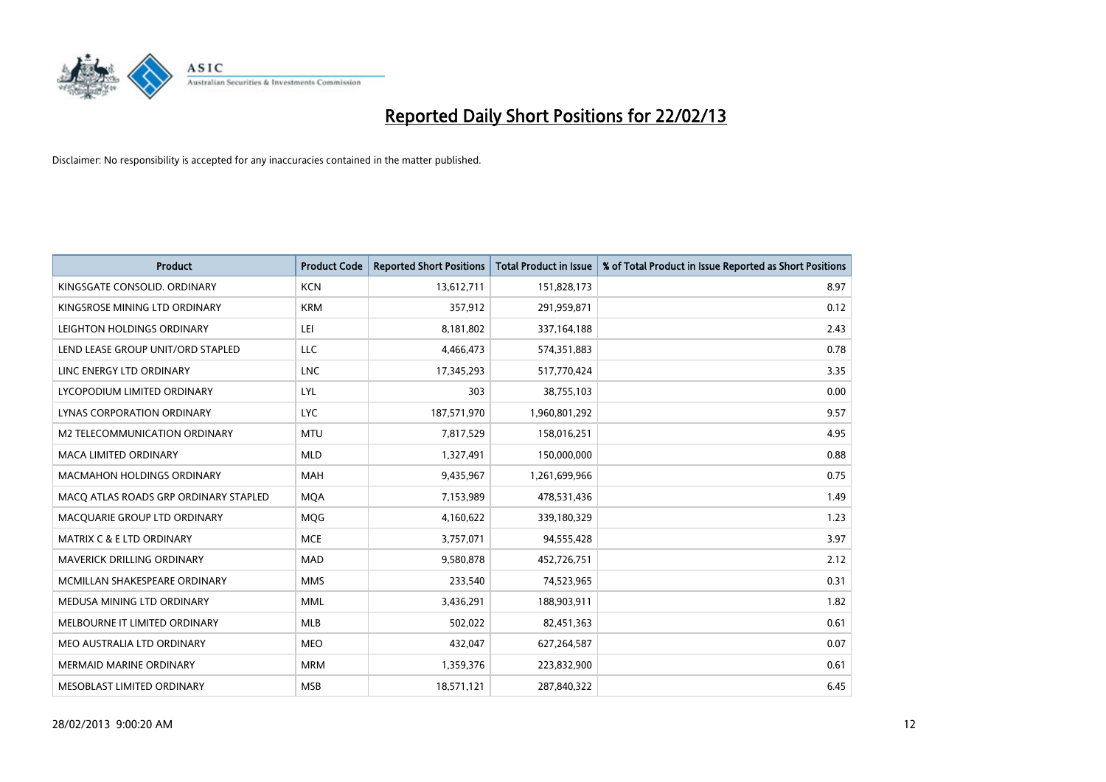

| <b>Product</b>                        | <b>Product Code</b> | <b>Reported Short Positions</b> | <b>Total Product in Issue</b> | % of Total Product in Issue Reported as Short Positions |
|---------------------------------------|---------------------|---------------------------------|-------------------------------|---------------------------------------------------------|
| KINGSGATE CONSOLID. ORDINARY          | <b>KCN</b>          | 13,612,711                      | 151,828,173                   | 8.97                                                    |
| KINGSROSE MINING LTD ORDINARY         | <b>KRM</b>          | 357,912                         | 291,959,871                   | 0.12                                                    |
| LEIGHTON HOLDINGS ORDINARY            | LEI                 | 8,181,802                       | 337,164,188                   | 2.43                                                    |
| LEND LEASE GROUP UNIT/ORD STAPLED     | <b>LLC</b>          | 4,466,473                       | 574,351,883                   | 0.78                                                    |
| LINC ENERGY LTD ORDINARY              | <b>LNC</b>          | 17,345,293                      | 517,770,424                   | 3.35                                                    |
| LYCOPODIUM LIMITED ORDINARY           | <b>LYL</b>          | 303                             | 38,755,103                    | 0.00                                                    |
| LYNAS CORPORATION ORDINARY            | <b>LYC</b>          | 187,571,970                     | 1,960,801,292                 | 9.57                                                    |
| M2 TELECOMMUNICATION ORDINARY         | <b>MTU</b>          | 7,817,529                       | 158,016,251                   | 4.95                                                    |
| <b>MACA LIMITED ORDINARY</b>          | <b>MLD</b>          | 1,327,491                       | 150,000,000                   | 0.88                                                    |
| <b>MACMAHON HOLDINGS ORDINARY</b>     | <b>MAH</b>          | 9,435,967                       | 1,261,699,966                 | 0.75                                                    |
| MACO ATLAS ROADS GRP ORDINARY STAPLED | <b>MOA</b>          | 7,153,989                       | 478,531,436                   | 1.49                                                    |
| MACQUARIE GROUP LTD ORDINARY          | MQG                 | 4,160,622                       | 339,180,329                   | 1.23                                                    |
| <b>MATRIX C &amp; E LTD ORDINARY</b>  | <b>MCE</b>          | 3,757,071                       | 94,555,428                    | 3.97                                                    |
| MAVERICK DRILLING ORDINARY            | <b>MAD</b>          | 9,580,878                       | 452,726,751                   | 2.12                                                    |
| MCMILLAN SHAKESPEARE ORDINARY         | <b>MMS</b>          | 233,540                         | 74,523,965                    | 0.31                                                    |
| MEDUSA MINING LTD ORDINARY            | <b>MML</b>          | 3,436,291                       | 188,903,911                   | 1.82                                                    |
| MELBOURNE IT LIMITED ORDINARY         | MLB                 | 502,022                         | 82,451,363                    | 0.61                                                    |
| MEO AUSTRALIA LTD ORDINARY            | <b>MEO</b>          | 432,047                         | 627,264,587                   | 0.07                                                    |
| <b>MERMAID MARINE ORDINARY</b>        | <b>MRM</b>          | 1,359,376                       | 223,832,900                   | 0.61                                                    |
| MESOBLAST LIMITED ORDINARY            | <b>MSB</b>          | 18,571,121                      | 287,840,322                   | 6.45                                                    |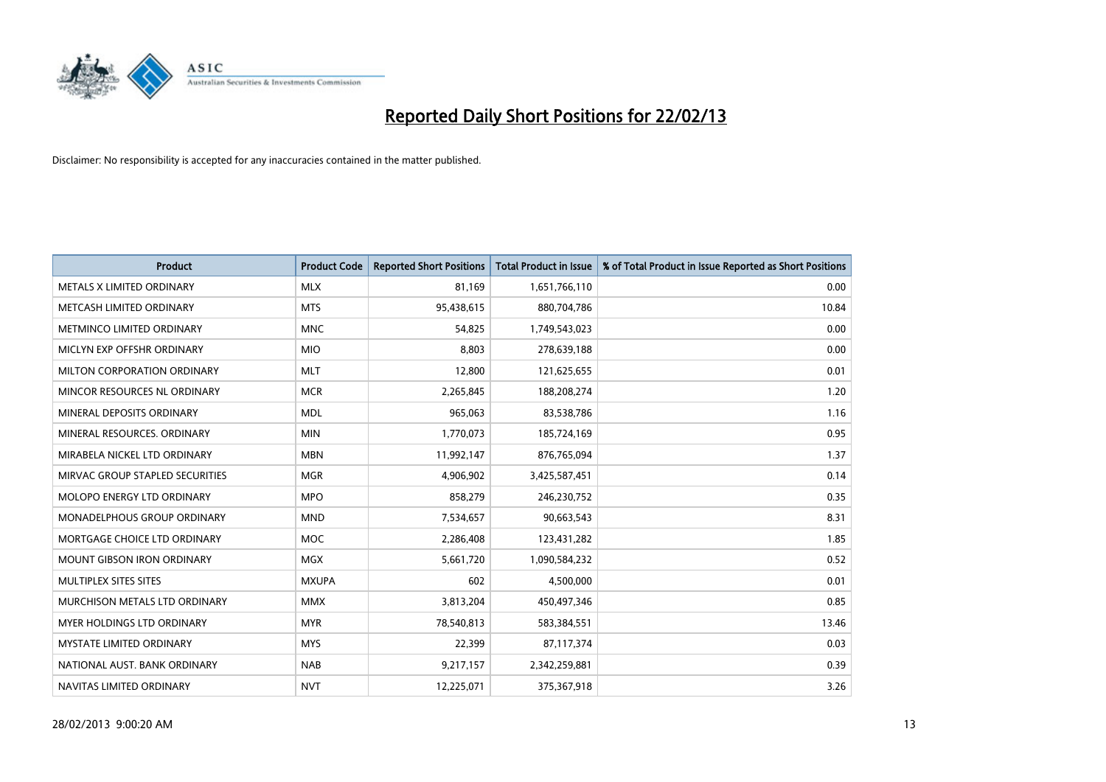

| <b>Product</b>                    | <b>Product Code</b> | <b>Reported Short Positions</b> | <b>Total Product in Issue</b> | % of Total Product in Issue Reported as Short Positions |
|-----------------------------------|---------------------|---------------------------------|-------------------------------|---------------------------------------------------------|
| METALS X LIMITED ORDINARY         | <b>MLX</b>          | 81,169                          | 1,651,766,110                 | 0.00                                                    |
| METCASH LIMITED ORDINARY          | <b>MTS</b>          | 95,438,615                      | 880,704,786                   | 10.84                                                   |
| METMINCO LIMITED ORDINARY         | <b>MNC</b>          | 54,825                          | 1,749,543,023                 | 0.00                                                    |
| MICLYN EXP OFFSHR ORDINARY        | <b>MIO</b>          | 8,803                           | 278,639,188                   | 0.00                                                    |
| MILTON CORPORATION ORDINARY       | <b>MLT</b>          | 12,800                          | 121,625,655                   | 0.01                                                    |
| MINCOR RESOURCES NL ORDINARY      | <b>MCR</b>          | 2,265,845                       | 188,208,274                   | 1.20                                                    |
| MINERAL DEPOSITS ORDINARY         | <b>MDL</b>          | 965,063                         | 83,538,786                    | 1.16                                                    |
| MINERAL RESOURCES, ORDINARY       | <b>MIN</b>          | 1,770,073                       | 185,724,169                   | 0.95                                                    |
| MIRABELA NICKEL LTD ORDINARY      | <b>MBN</b>          | 11,992,147                      | 876,765,094                   | 1.37                                                    |
| MIRVAC GROUP STAPLED SECURITIES   | <b>MGR</b>          | 4,906,902                       | 3,425,587,451                 | 0.14                                                    |
| MOLOPO ENERGY LTD ORDINARY        | <b>MPO</b>          | 858,279                         | 246,230,752                   | 0.35                                                    |
| MONADELPHOUS GROUP ORDINARY       | <b>MND</b>          | 7,534,657                       | 90,663,543                    | 8.31                                                    |
| MORTGAGE CHOICE LTD ORDINARY      | <b>MOC</b>          | 2,286,408                       | 123,431,282                   | 1.85                                                    |
| <b>MOUNT GIBSON IRON ORDINARY</b> | <b>MGX</b>          | 5,661,720                       | 1,090,584,232                 | 0.52                                                    |
| MULTIPLEX SITES SITES             | <b>MXUPA</b>        | 602                             | 4,500,000                     | 0.01                                                    |
| MURCHISON METALS LTD ORDINARY     | <b>MMX</b>          | 3,813,204                       | 450,497,346                   | 0.85                                                    |
| <b>MYER HOLDINGS LTD ORDINARY</b> | <b>MYR</b>          | 78,540,813                      | 583,384,551                   | 13.46                                                   |
| <b>MYSTATE LIMITED ORDINARY</b>   | <b>MYS</b>          | 22.399                          | 87,117,374                    | 0.03                                                    |
| NATIONAL AUST, BANK ORDINARY      | <b>NAB</b>          | 9,217,157                       | 2,342,259,881                 | 0.39                                                    |
| NAVITAS LIMITED ORDINARY          | <b>NVT</b>          | 12,225,071                      | 375,367,918                   | 3.26                                                    |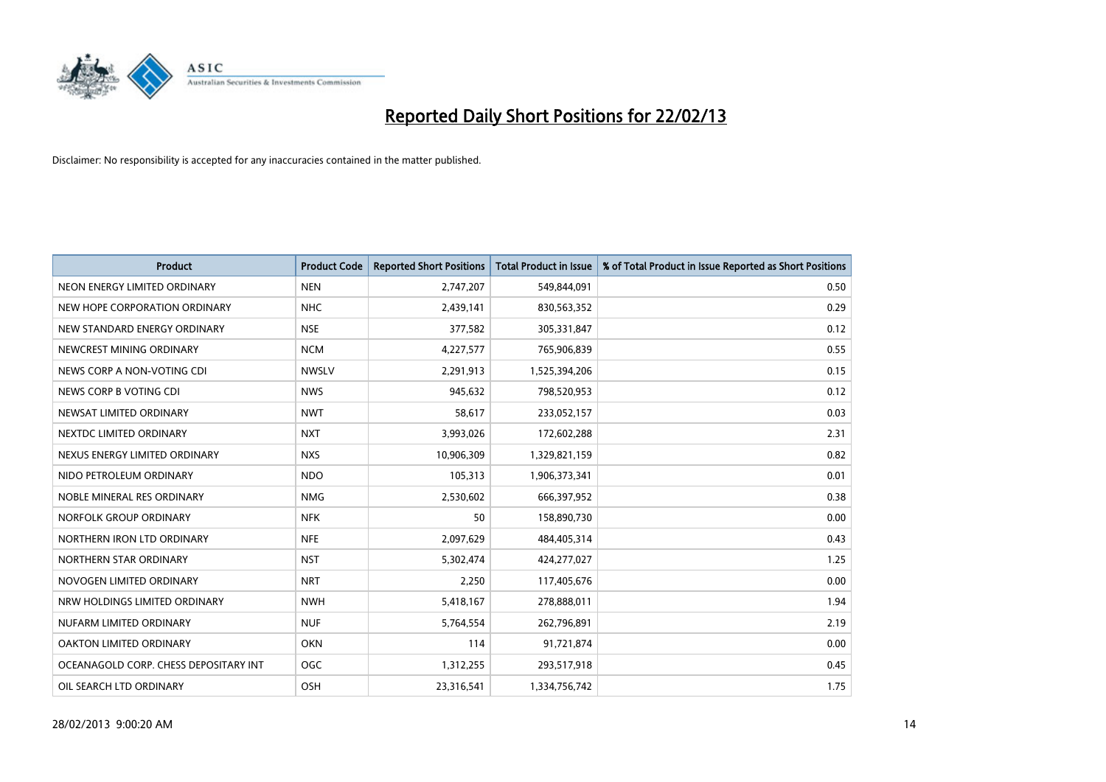

| <b>Product</b>                        | <b>Product Code</b> | <b>Reported Short Positions</b> | <b>Total Product in Issue</b> | % of Total Product in Issue Reported as Short Positions |
|---------------------------------------|---------------------|---------------------------------|-------------------------------|---------------------------------------------------------|
| NEON ENERGY LIMITED ORDINARY          | <b>NEN</b>          | 2,747,207                       | 549,844,091                   | 0.50                                                    |
| NEW HOPE CORPORATION ORDINARY         | <b>NHC</b>          | 2,439,141                       | 830,563,352                   | 0.29                                                    |
| NEW STANDARD ENERGY ORDINARY          | <b>NSE</b>          | 377,582                         | 305,331,847                   | 0.12                                                    |
| NEWCREST MINING ORDINARY              | <b>NCM</b>          | 4,227,577                       | 765,906,839                   | 0.55                                                    |
| NEWS CORP A NON-VOTING CDI            | <b>NWSLV</b>        | 2,291,913                       | 1,525,394,206                 | 0.15                                                    |
| NEWS CORP B VOTING CDI                | <b>NWS</b>          | 945,632                         | 798,520,953                   | 0.12                                                    |
| NEWSAT LIMITED ORDINARY               | <b>NWT</b>          | 58,617                          | 233,052,157                   | 0.03                                                    |
| NEXTDC LIMITED ORDINARY               | <b>NXT</b>          | 3,993,026                       | 172,602,288                   | 2.31                                                    |
| NEXUS ENERGY LIMITED ORDINARY         | <b>NXS</b>          | 10,906,309                      | 1,329,821,159                 | 0.82                                                    |
| NIDO PETROLEUM ORDINARY               | <b>NDO</b>          | 105,313                         | 1,906,373,341                 | 0.01                                                    |
| NOBLE MINERAL RES ORDINARY            | <b>NMG</b>          | 2,530,602                       | 666,397,952                   | 0.38                                                    |
| NORFOLK GROUP ORDINARY                | <b>NFK</b>          | 50                              | 158,890,730                   | 0.00                                                    |
| NORTHERN IRON LTD ORDINARY            | <b>NFE</b>          | 2,097,629                       | 484,405,314                   | 0.43                                                    |
| NORTHERN STAR ORDINARY                | <b>NST</b>          | 5,302,474                       | 424,277,027                   | 1.25                                                    |
| NOVOGEN LIMITED ORDINARY              | <b>NRT</b>          | 2,250                           | 117,405,676                   | 0.00                                                    |
| NRW HOLDINGS LIMITED ORDINARY         | <b>NWH</b>          | 5,418,167                       | 278,888,011                   | 1.94                                                    |
| NUFARM LIMITED ORDINARY               | <b>NUF</b>          | 5,764,554                       | 262,796,891                   | 2.19                                                    |
| OAKTON LIMITED ORDINARY               | <b>OKN</b>          | 114                             | 91,721,874                    | 0.00                                                    |
| OCEANAGOLD CORP. CHESS DEPOSITARY INT | <b>OGC</b>          | 1,312,255                       | 293,517,918                   | 0.45                                                    |
| OIL SEARCH LTD ORDINARY               | OSH                 | 23,316,541                      | 1,334,756,742                 | 1.75                                                    |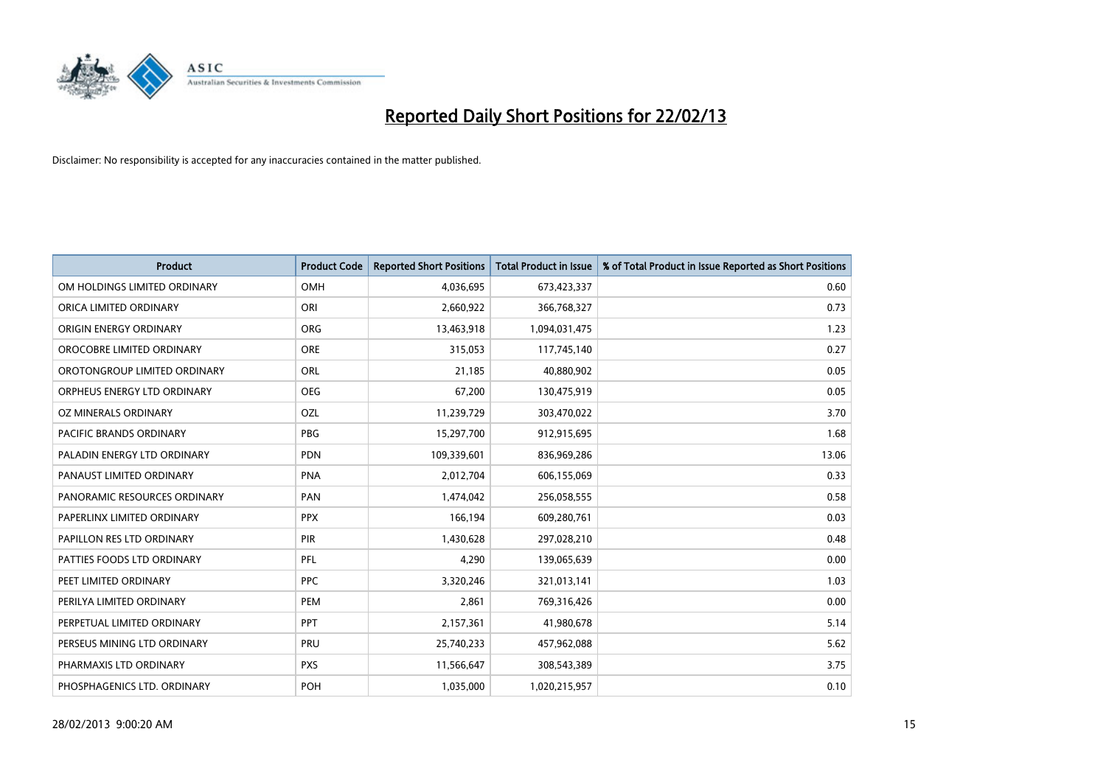

| <b>Product</b>               | <b>Product Code</b> | <b>Reported Short Positions</b> | <b>Total Product in Issue</b> | % of Total Product in Issue Reported as Short Positions |
|------------------------------|---------------------|---------------------------------|-------------------------------|---------------------------------------------------------|
| OM HOLDINGS LIMITED ORDINARY | <b>OMH</b>          | 4,036,695                       | 673,423,337                   | 0.60                                                    |
| ORICA LIMITED ORDINARY       | ORI                 | 2,660,922                       | 366,768,327                   | 0.73                                                    |
| ORIGIN ENERGY ORDINARY       | <b>ORG</b>          | 13,463,918                      | 1,094,031,475                 | 1.23                                                    |
| OROCOBRE LIMITED ORDINARY    | <b>ORE</b>          | 315,053                         | 117,745,140                   | 0.27                                                    |
| OROTONGROUP LIMITED ORDINARY | ORL                 | 21,185                          | 40,880,902                    | 0.05                                                    |
| ORPHEUS ENERGY LTD ORDINARY  | <b>OEG</b>          | 67,200                          | 130,475,919                   | 0.05                                                    |
| OZ MINERALS ORDINARY         | OZL                 | 11,239,729                      | 303,470,022                   | 3.70                                                    |
| PACIFIC BRANDS ORDINARY      | <b>PBG</b>          | 15,297,700                      | 912,915,695                   | 1.68                                                    |
| PALADIN ENERGY LTD ORDINARY  | <b>PDN</b>          | 109,339,601                     | 836,969,286                   | 13.06                                                   |
| PANAUST LIMITED ORDINARY     | <b>PNA</b>          | 2,012,704                       | 606,155,069                   | 0.33                                                    |
| PANORAMIC RESOURCES ORDINARY | PAN                 | 1,474,042                       | 256,058,555                   | 0.58                                                    |
| PAPERLINX LIMITED ORDINARY   | <b>PPX</b>          | 166,194                         | 609,280,761                   | 0.03                                                    |
| PAPILLON RES LTD ORDINARY    | PIR                 | 1,430,628                       | 297,028,210                   | 0.48                                                    |
| PATTIES FOODS LTD ORDINARY   | PFL                 | 4,290                           | 139,065,639                   | 0.00                                                    |
| PEET LIMITED ORDINARY        | <b>PPC</b>          | 3,320,246                       | 321,013,141                   | 1.03                                                    |
| PERILYA LIMITED ORDINARY     | PEM                 | 2,861                           | 769,316,426                   | 0.00                                                    |
| PERPETUAL LIMITED ORDINARY   | <b>PPT</b>          | 2,157,361                       | 41,980,678                    | 5.14                                                    |
| PERSEUS MINING LTD ORDINARY  | <b>PRU</b>          | 25,740,233                      | 457,962,088                   | 5.62                                                    |
| PHARMAXIS LTD ORDINARY       | <b>PXS</b>          | 11,566,647                      | 308,543,389                   | 3.75                                                    |
| PHOSPHAGENICS LTD. ORDINARY  | POH                 | 1,035,000                       | 1,020,215,957                 | 0.10                                                    |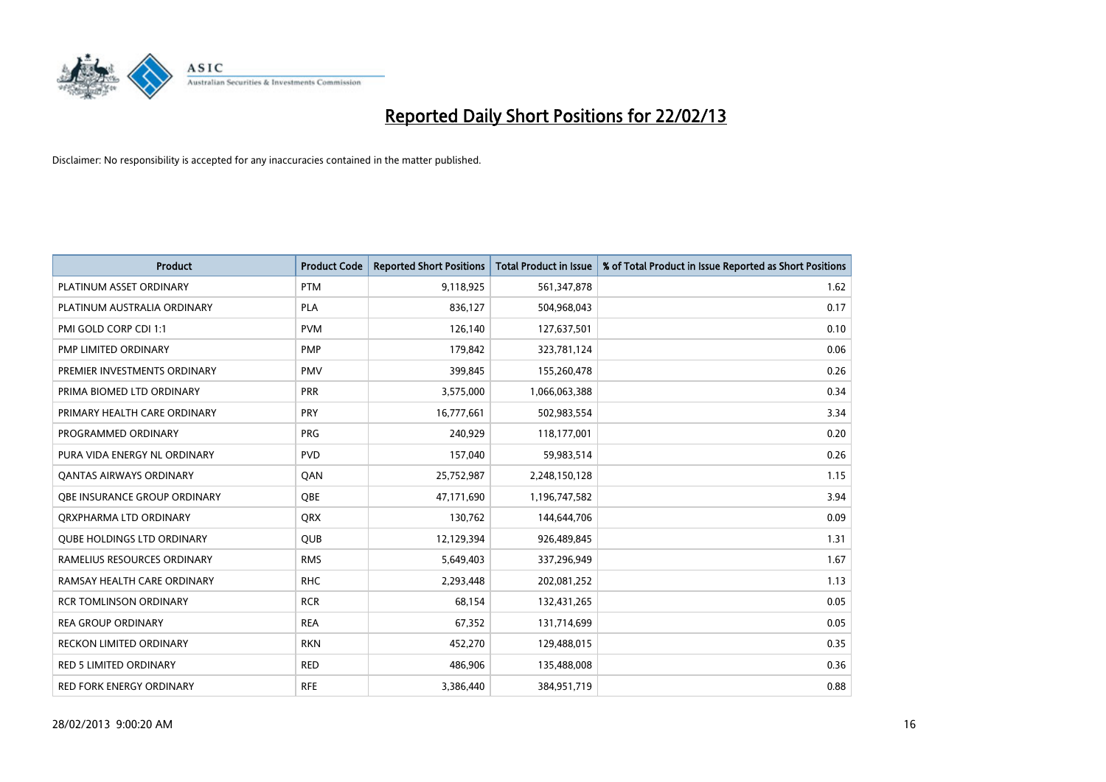

| <b>Product</b>                    | <b>Product Code</b> | <b>Reported Short Positions</b> | <b>Total Product in Issue</b> | % of Total Product in Issue Reported as Short Positions |
|-----------------------------------|---------------------|---------------------------------|-------------------------------|---------------------------------------------------------|
| PLATINUM ASSET ORDINARY           | <b>PTM</b>          | 9,118,925                       | 561,347,878                   | 1.62                                                    |
| PLATINUM AUSTRALIA ORDINARY       | <b>PLA</b>          | 836,127                         | 504,968,043                   | 0.17                                                    |
| PMI GOLD CORP CDI 1:1             | <b>PVM</b>          | 126,140                         | 127,637,501                   | 0.10                                                    |
| PMP LIMITED ORDINARY              | <b>PMP</b>          | 179,842                         | 323,781,124                   | 0.06                                                    |
| PREMIER INVESTMENTS ORDINARY      | <b>PMV</b>          | 399,845                         | 155,260,478                   | 0.26                                                    |
| PRIMA BIOMED LTD ORDINARY         | PRR                 | 3,575,000                       | 1,066,063,388                 | 0.34                                                    |
| PRIMARY HEALTH CARE ORDINARY      | <b>PRY</b>          | 16,777,661                      | 502,983,554                   | 3.34                                                    |
| PROGRAMMED ORDINARY               | <b>PRG</b>          | 240,929                         | 118,177,001                   | 0.20                                                    |
| PURA VIDA ENERGY NL ORDINARY      | <b>PVD</b>          | 157,040                         | 59,983,514                    | 0.26                                                    |
| <b>QANTAS AIRWAYS ORDINARY</b>    | QAN                 | 25,752,987                      | 2,248,150,128                 | 1.15                                                    |
| OBE INSURANCE GROUP ORDINARY      | <b>OBE</b>          | 47,171,690                      | 1,196,747,582                 | 3.94                                                    |
| ORXPHARMA LTD ORDINARY            | QRX                 | 130,762                         | 144,644,706                   | 0.09                                                    |
| <b>QUBE HOLDINGS LTD ORDINARY</b> | <b>QUB</b>          | 12,129,394                      | 926,489,845                   | 1.31                                                    |
| RAMELIUS RESOURCES ORDINARY       | <b>RMS</b>          | 5,649,403                       | 337,296,949                   | 1.67                                                    |
| RAMSAY HEALTH CARE ORDINARY       | <b>RHC</b>          | 2,293,448                       | 202,081,252                   | 1.13                                                    |
| <b>RCR TOMLINSON ORDINARY</b>     | <b>RCR</b>          | 68,154                          | 132,431,265                   | 0.05                                                    |
| <b>REA GROUP ORDINARY</b>         | <b>REA</b>          | 67,352                          | 131,714,699                   | 0.05                                                    |
| <b>RECKON LIMITED ORDINARY</b>    | <b>RKN</b>          | 452,270                         | 129,488,015                   | 0.35                                                    |
| <b>RED 5 LIMITED ORDINARY</b>     | <b>RED</b>          | 486,906                         | 135,488,008                   | 0.36                                                    |
| RED FORK ENERGY ORDINARY          | <b>RFE</b>          | 3,386,440                       | 384,951,719                   | 0.88                                                    |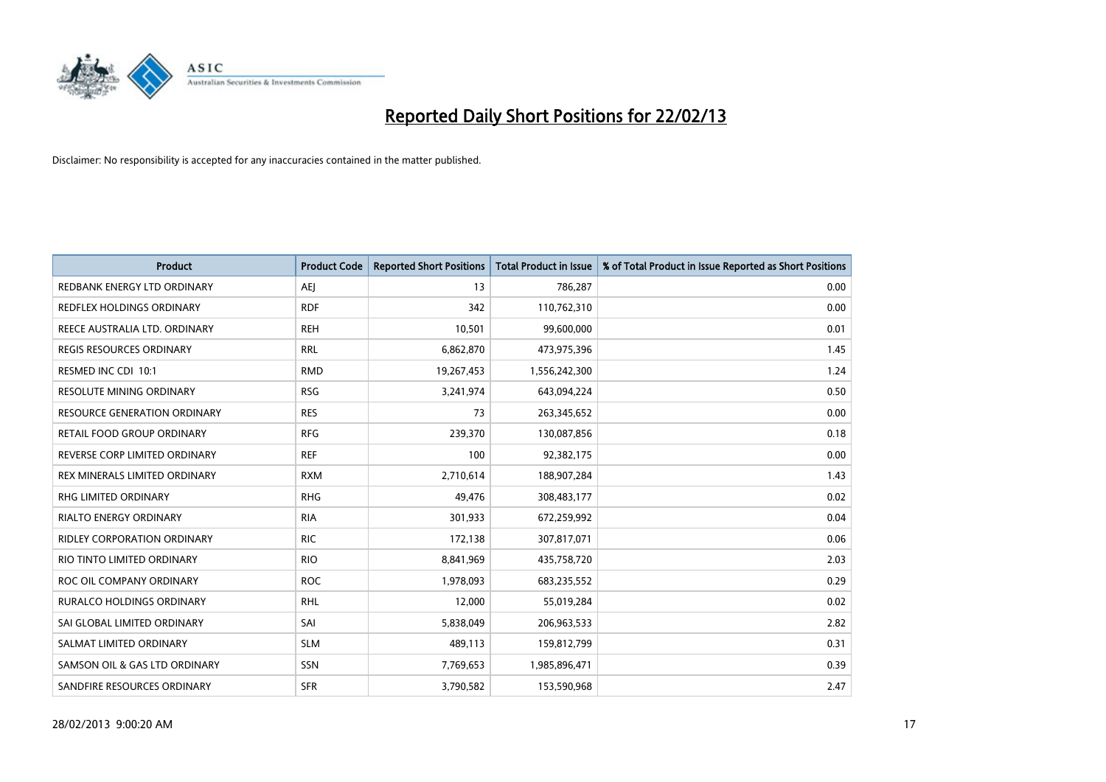

| <b>Product</b>                      | <b>Product Code</b> | <b>Reported Short Positions</b> | <b>Total Product in Issue</b> | % of Total Product in Issue Reported as Short Positions |
|-------------------------------------|---------------------|---------------------------------|-------------------------------|---------------------------------------------------------|
| REDBANK ENERGY LTD ORDINARY         | <b>AEJ</b>          | 13                              | 786,287                       | 0.00                                                    |
| REDFLEX HOLDINGS ORDINARY           | <b>RDF</b>          | 342                             | 110,762,310                   | 0.00                                                    |
| REECE AUSTRALIA LTD. ORDINARY       | <b>REH</b>          | 10,501                          | 99,600,000                    | 0.01                                                    |
| <b>REGIS RESOURCES ORDINARY</b>     | <b>RRL</b>          | 6,862,870                       | 473,975,396                   | 1.45                                                    |
| RESMED INC CDI 10:1                 | <b>RMD</b>          | 19,267,453                      | 1,556,242,300                 | 1.24                                                    |
| <b>RESOLUTE MINING ORDINARY</b>     | <b>RSG</b>          | 3,241,974                       | 643,094,224                   | 0.50                                                    |
| <b>RESOURCE GENERATION ORDINARY</b> | <b>RES</b>          | 73                              | 263,345,652                   | 0.00                                                    |
| RETAIL FOOD GROUP ORDINARY          | <b>RFG</b>          | 239,370                         | 130,087,856                   | 0.18                                                    |
| REVERSE CORP LIMITED ORDINARY       | <b>REF</b>          | 100                             | 92,382,175                    | 0.00                                                    |
| REX MINERALS LIMITED ORDINARY       | <b>RXM</b>          | 2,710,614                       | 188,907,284                   | 1.43                                                    |
| <b>RHG LIMITED ORDINARY</b>         | <b>RHG</b>          | 49,476                          | 308,483,177                   | 0.02                                                    |
| <b>RIALTO ENERGY ORDINARY</b>       | <b>RIA</b>          | 301,933                         | 672,259,992                   | 0.04                                                    |
| RIDLEY CORPORATION ORDINARY         | <b>RIC</b>          | 172,138                         | 307,817,071                   | 0.06                                                    |
| RIO TINTO LIMITED ORDINARY          | <b>RIO</b>          | 8,841,969                       | 435,758,720                   | 2.03                                                    |
| ROC OIL COMPANY ORDINARY            | <b>ROC</b>          | 1,978,093                       | 683,235,552                   | 0.29                                                    |
| <b>RURALCO HOLDINGS ORDINARY</b>    | <b>RHL</b>          | 12,000                          | 55,019,284                    | 0.02                                                    |
| SAI GLOBAL LIMITED ORDINARY         | SAI                 | 5,838,049                       | 206,963,533                   | 2.82                                                    |
| SALMAT LIMITED ORDINARY             | <b>SLM</b>          | 489,113                         | 159,812,799                   | 0.31                                                    |
| SAMSON OIL & GAS LTD ORDINARY       | SSN                 | 7,769,653                       | 1,985,896,471                 | 0.39                                                    |
| SANDFIRE RESOURCES ORDINARY         | <b>SFR</b>          | 3,790,582                       | 153,590,968                   | 2.47                                                    |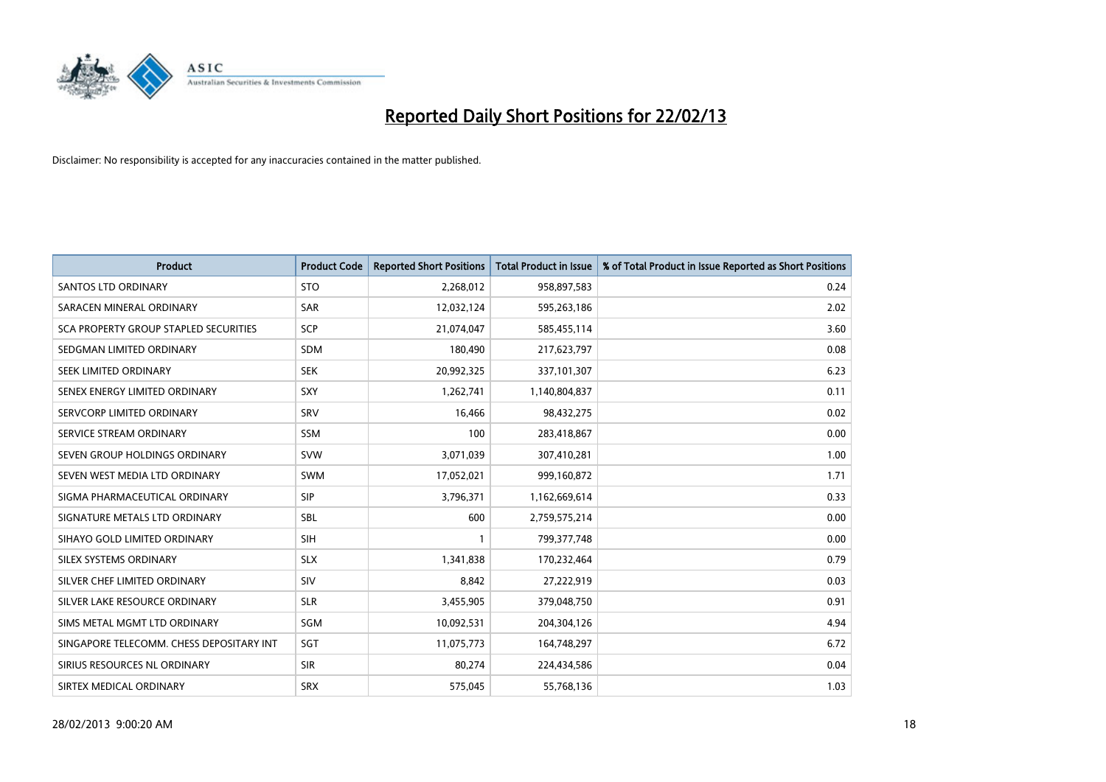

| <b>Product</b>                           | <b>Product Code</b> | <b>Reported Short Positions</b> | <b>Total Product in Issue</b> | % of Total Product in Issue Reported as Short Positions |
|------------------------------------------|---------------------|---------------------------------|-------------------------------|---------------------------------------------------------|
| <b>SANTOS LTD ORDINARY</b>               | <b>STO</b>          | 2,268,012                       | 958,897,583                   | 0.24                                                    |
| SARACEN MINERAL ORDINARY                 | <b>SAR</b>          | 12,032,124                      | 595,263,186                   | 2.02                                                    |
| SCA PROPERTY GROUP STAPLED SECURITIES    | <b>SCP</b>          | 21,074,047                      | 585,455,114                   | 3.60                                                    |
| SEDGMAN LIMITED ORDINARY                 | <b>SDM</b>          | 180,490                         | 217,623,797                   | 0.08                                                    |
| SEEK LIMITED ORDINARY                    | <b>SEK</b>          | 20,992,325                      | 337,101,307                   | 6.23                                                    |
| SENEX ENERGY LIMITED ORDINARY            | SXY                 | 1,262,741                       | 1,140,804,837                 | 0.11                                                    |
| SERVCORP LIMITED ORDINARY                | SRV                 | 16,466                          | 98,432,275                    | 0.02                                                    |
| SERVICE STREAM ORDINARY                  | <b>SSM</b>          | 100                             | 283,418,867                   | 0.00                                                    |
| SEVEN GROUP HOLDINGS ORDINARY            | <b>SVW</b>          | 3,071,039                       | 307,410,281                   | 1.00                                                    |
| SEVEN WEST MEDIA LTD ORDINARY            | <b>SWM</b>          | 17,052,021                      | 999,160,872                   | 1.71                                                    |
| SIGMA PHARMACEUTICAL ORDINARY            | <b>SIP</b>          | 3,796,371                       | 1,162,669,614                 | 0.33                                                    |
| SIGNATURE METALS LTD ORDINARY            | <b>SBL</b>          | 600                             | 2,759,575,214                 | 0.00                                                    |
| SIHAYO GOLD LIMITED ORDINARY             | <b>SIH</b>          | 1                               | 799, 377, 748                 | 0.00                                                    |
| SILEX SYSTEMS ORDINARY                   | <b>SLX</b>          | 1,341,838                       | 170,232,464                   | 0.79                                                    |
| SILVER CHEF LIMITED ORDINARY             | <b>SIV</b>          | 8,842                           | 27,222,919                    | 0.03                                                    |
| SILVER LAKE RESOURCE ORDINARY            | <b>SLR</b>          | 3,455,905                       | 379,048,750                   | 0.91                                                    |
| SIMS METAL MGMT LTD ORDINARY             | SGM                 | 10,092,531                      | 204,304,126                   | 4.94                                                    |
| SINGAPORE TELECOMM. CHESS DEPOSITARY INT | SGT                 | 11,075,773                      | 164,748,297                   | 6.72                                                    |
| SIRIUS RESOURCES NL ORDINARY             | <b>SIR</b>          | 80,274                          | 224,434,586                   | 0.04                                                    |
| SIRTEX MEDICAL ORDINARY                  | <b>SRX</b>          | 575,045                         | 55,768,136                    | 1.03                                                    |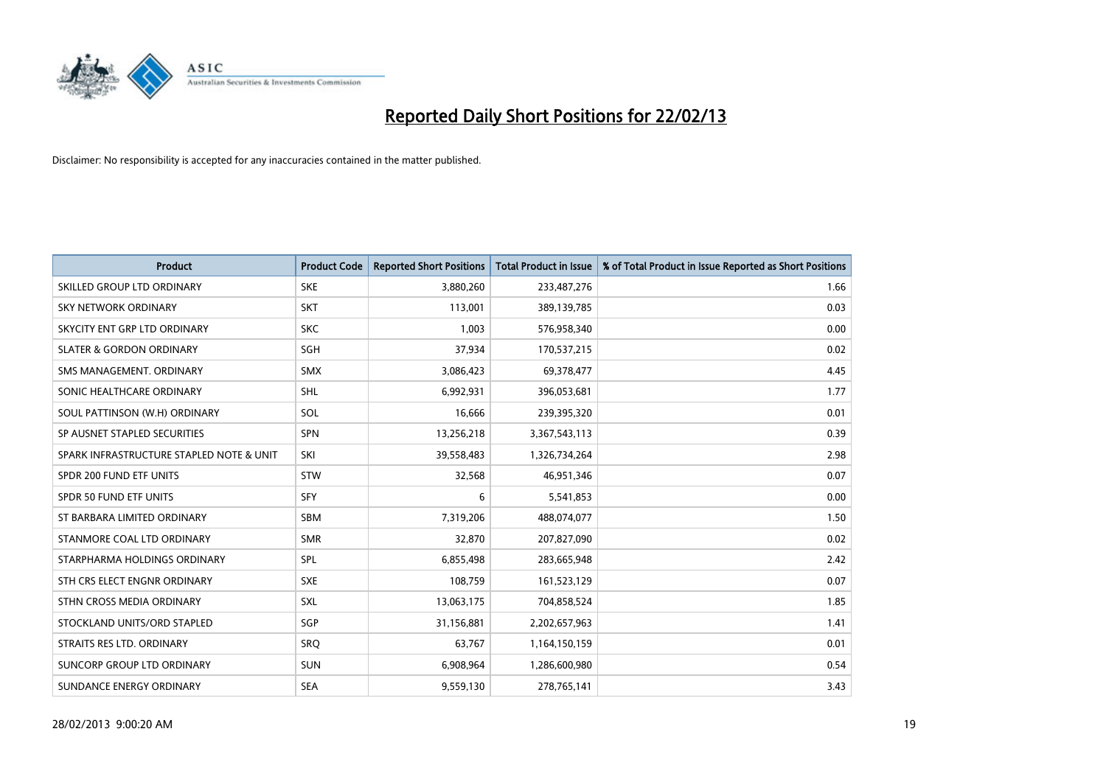

| <b>Product</b>                           | <b>Product Code</b> | <b>Reported Short Positions</b> | <b>Total Product in Issue</b> | % of Total Product in Issue Reported as Short Positions |
|------------------------------------------|---------------------|---------------------------------|-------------------------------|---------------------------------------------------------|
| SKILLED GROUP LTD ORDINARY               | <b>SKE</b>          | 3,880,260                       | 233,487,276                   | 1.66                                                    |
| SKY NETWORK ORDINARY                     | <b>SKT</b>          | 113,001                         | 389,139,785                   | 0.03                                                    |
| SKYCITY ENT GRP LTD ORDINARY             | <b>SKC</b>          | 1,003                           | 576,958,340                   | 0.00                                                    |
| <b>SLATER &amp; GORDON ORDINARY</b>      | SGH                 | 37,934                          | 170,537,215                   | 0.02                                                    |
| SMS MANAGEMENT, ORDINARY                 | <b>SMX</b>          | 3,086,423                       | 69,378,477                    | 4.45                                                    |
| SONIC HEALTHCARE ORDINARY                | SHL                 | 6,992,931                       | 396,053,681                   | 1.77                                                    |
| SOUL PATTINSON (W.H) ORDINARY            | SOL                 | 16,666                          | 239,395,320                   | 0.01                                                    |
| SP AUSNET STAPLED SECURITIES             | <b>SPN</b>          | 13,256,218                      | 3,367,543,113                 | 0.39                                                    |
| SPARK INFRASTRUCTURE STAPLED NOTE & UNIT | SKI                 | 39,558,483                      | 1,326,734,264                 | 2.98                                                    |
| SPDR 200 FUND ETF UNITS                  | <b>STW</b>          | 32,568                          | 46,951,346                    | 0.07                                                    |
| SPDR 50 FUND ETF UNITS                   | <b>SFY</b>          | 6                               | 5,541,853                     | 0.00                                                    |
| ST BARBARA LIMITED ORDINARY              | SBM                 | 7,319,206                       | 488,074,077                   | 1.50                                                    |
| STANMORE COAL LTD ORDINARY               | <b>SMR</b>          | 32,870                          | 207,827,090                   | 0.02                                                    |
| STARPHARMA HOLDINGS ORDINARY             | SPL                 | 6,855,498                       | 283,665,948                   | 2.42                                                    |
| STH CRS ELECT ENGNR ORDINARY             | <b>SXE</b>          | 108,759                         | 161,523,129                   | 0.07                                                    |
| STHN CROSS MEDIA ORDINARY                | SXL                 | 13,063,175                      | 704,858,524                   | 1.85                                                    |
| STOCKLAND UNITS/ORD STAPLED              | SGP                 | 31,156,881                      | 2,202,657,963                 | 1.41                                                    |
| STRAITS RES LTD. ORDINARY                | <b>SRO</b>          | 63,767                          | 1,164,150,159                 | 0.01                                                    |
| SUNCORP GROUP LTD ORDINARY               | <b>SUN</b>          | 6,908,964                       | 1,286,600,980                 | 0.54                                                    |
| SUNDANCE ENERGY ORDINARY                 | <b>SEA</b>          | 9,559,130                       | 278,765,141                   | 3.43                                                    |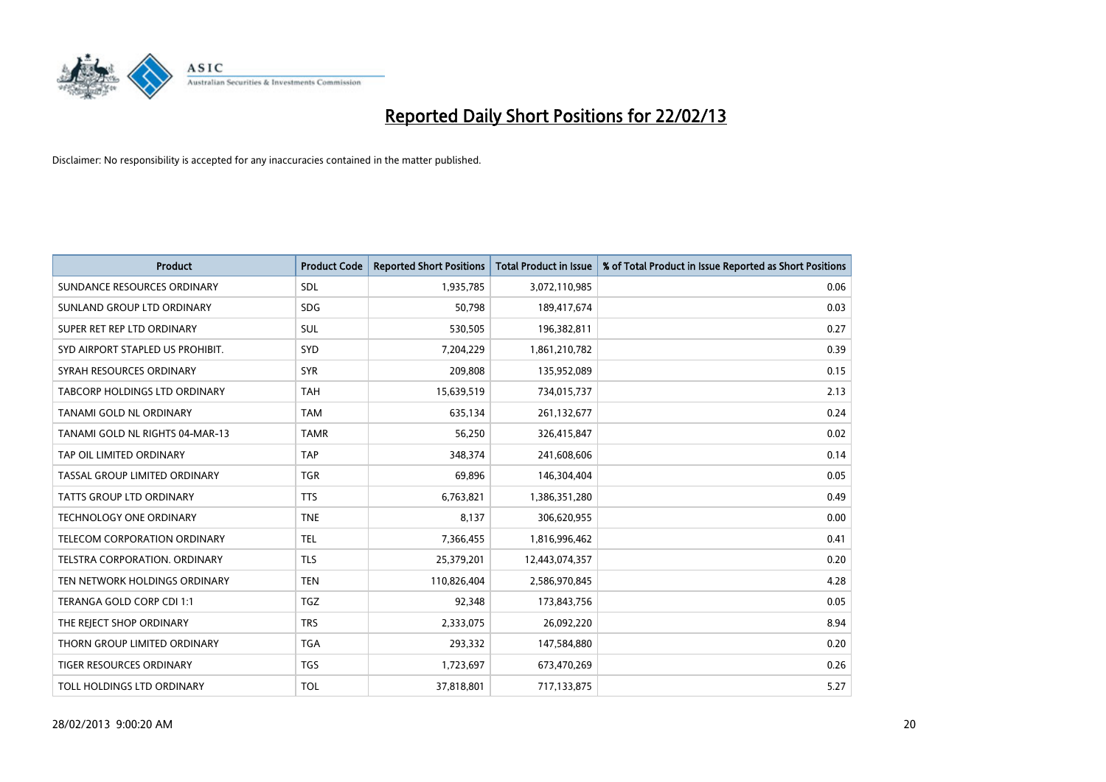

| <b>Product</b>                   | <b>Product Code</b> | <b>Reported Short Positions</b> | <b>Total Product in Issue</b> | % of Total Product in Issue Reported as Short Positions |
|----------------------------------|---------------------|---------------------------------|-------------------------------|---------------------------------------------------------|
| SUNDANCE RESOURCES ORDINARY      | <b>SDL</b>          | 1,935,785                       | 3,072,110,985                 | 0.06                                                    |
| SUNLAND GROUP LTD ORDINARY       | <b>SDG</b>          | 50,798                          | 189,417,674                   | 0.03                                                    |
| SUPER RET REP LTD ORDINARY       | <b>SUL</b>          | 530,505                         | 196,382,811                   | 0.27                                                    |
| SYD AIRPORT STAPLED US PROHIBIT. | <b>SYD</b>          | 7,204,229                       | 1,861,210,782                 | 0.39                                                    |
| SYRAH RESOURCES ORDINARY         | <b>SYR</b>          | 209,808                         | 135,952,089                   | 0.15                                                    |
| TABCORP HOLDINGS LTD ORDINARY    | <b>TAH</b>          | 15,639,519                      | 734,015,737                   | 2.13                                                    |
| TANAMI GOLD NL ORDINARY          | <b>TAM</b>          | 635,134                         | 261,132,677                   | 0.24                                                    |
| TANAMI GOLD NL RIGHTS 04-MAR-13  | <b>TAMR</b>         | 56,250                          | 326,415,847                   | 0.02                                                    |
| TAP OIL LIMITED ORDINARY         | <b>TAP</b>          | 348,374                         | 241,608,606                   | 0.14                                                    |
| TASSAL GROUP LIMITED ORDINARY    | <b>TGR</b>          | 69,896                          | 146,304,404                   | 0.05                                                    |
| TATTS GROUP LTD ORDINARY         | <b>TTS</b>          | 6,763,821                       | 1,386,351,280                 | 0.49                                                    |
| <b>TECHNOLOGY ONE ORDINARY</b>   | <b>TNE</b>          | 8,137                           | 306,620,955                   | 0.00                                                    |
| TELECOM CORPORATION ORDINARY     | <b>TEL</b>          | 7,366,455                       | 1,816,996,462                 | 0.41                                                    |
| TELSTRA CORPORATION, ORDINARY    | <b>TLS</b>          | 25,379,201                      | 12,443,074,357                | 0.20                                                    |
| TEN NETWORK HOLDINGS ORDINARY    | <b>TEN</b>          | 110,826,404                     | 2,586,970,845                 | 4.28                                                    |
| TERANGA GOLD CORP CDI 1:1        | <b>TGZ</b>          | 92,348                          | 173,843,756                   | 0.05                                                    |
| THE REJECT SHOP ORDINARY         | <b>TRS</b>          | 2,333,075                       | 26,092,220                    | 8.94                                                    |
| THORN GROUP LIMITED ORDINARY     | <b>TGA</b>          | 293,332                         | 147,584,880                   | 0.20                                                    |
| TIGER RESOURCES ORDINARY         | <b>TGS</b>          | 1,723,697                       | 673,470,269                   | 0.26                                                    |
| TOLL HOLDINGS LTD ORDINARY       | <b>TOL</b>          | 37,818,801                      | 717,133,875                   | 5.27                                                    |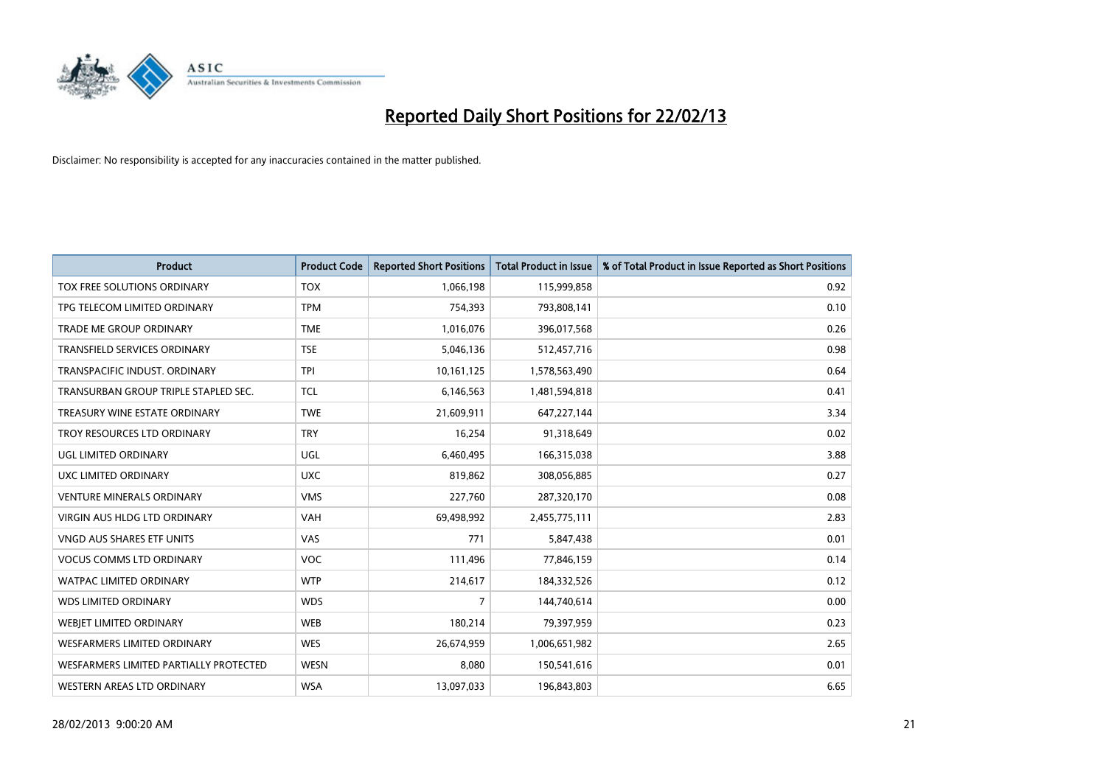

| <b>Product</b>                         | <b>Product Code</b> | <b>Reported Short Positions</b> | <b>Total Product in Issue</b> | % of Total Product in Issue Reported as Short Positions |
|----------------------------------------|---------------------|---------------------------------|-------------------------------|---------------------------------------------------------|
| TOX FREE SOLUTIONS ORDINARY            | <b>TOX</b>          | 1,066,198                       | 115,999,858                   | 0.92                                                    |
| TPG TELECOM LIMITED ORDINARY           | <b>TPM</b>          | 754,393                         | 793,808,141                   | 0.10                                                    |
| <b>TRADE ME GROUP ORDINARY</b>         | <b>TME</b>          | 1,016,076                       | 396,017,568                   | 0.26                                                    |
| TRANSFIELD SERVICES ORDINARY           | <b>TSE</b>          | 5,046,136                       | 512,457,716                   | 0.98                                                    |
| TRANSPACIFIC INDUST, ORDINARY          | <b>TPI</b>          | 10,161,125                      | 1,578,563,490                 | 0.64                                                    |
| TRANSURBAN GROUP TRIPLE STAPLED SEC.   | <b>TCL</b>          | 6,146,563                       | 1,481,594,818                 | 0.41                                                    |
| TREASURY WINE ESTATE ORDINARY          | <b>TWE</b>          | 21,609,911                      | 647,227,144                   | 3.34                                                    |
| TROY RESOURCES LTD ORDINARY            | <b>TRY</b>          | 16,254                          | 91,318,649                    | 0.02                                                    |
| <b>UGL LIMITED ORDINARY</b>            | UGL                 | 6,460,495                       | 166,315,038                   | 3.88                                                    |
| UXC LIMITED ORDINARY                   | <b>UXC</b>          | 819,862                         | 308,056,885                   | 0.27                                                    |
| VENTURE MINERALS ORDINARY              | <b>VMS</b>          | 227,760                         | 287,320,170                   | 0.08                                                    |
| <b>VIRGIN AUS HLDG LTD ORDINARY</b>    | <b>VAH</b>          | 69,498,992                      | 2,455,775,111                 | 2.83                                                    |
| VNGD AUS SHARES ETF UNITS              | <b>VAS</b>          | 771                             | 5,847,438                     | 0.01                                                    |
| <b>VOCUS COMMS LTD ORDINARY</b>        | <b>VOC</b>          | 111,496                         | 77,846,159                    | 0.14                                                    |
| <b>WATPAC LIMITED ORDINARY</b>         | <b>WTP</b>          | 214,617                         | 184,332,526                   | 0.12                                                    |
| <b>WDS LIMITED ORDINARY</b>            | <b>WDS</b>          | $\overline{7}$                  | 144,740,614                   | 0.00                                                    |
| WEBJET LIMITED ORDINARY                | <b>WEB</b>          | 180,214                         | 79,397,959                    | 0.23                                                    |
| WESFARMERS LIMITED ORDINARY            | <b>WES</b>          | 26,674,959                      | 1,006,651,982                 | 2.65                                                    |
| WESFARMERS LIMITED PARTIALLY PROTECTED | <b>WESN</b>         | 8,080                           | 150,541,616                   | 0.01                                                    |
| WESTERN AREAS LTD ORDINARY             | <b>WSA</b>          | 13,097,033                      | 196,843,803                   | 6.65                                                    |